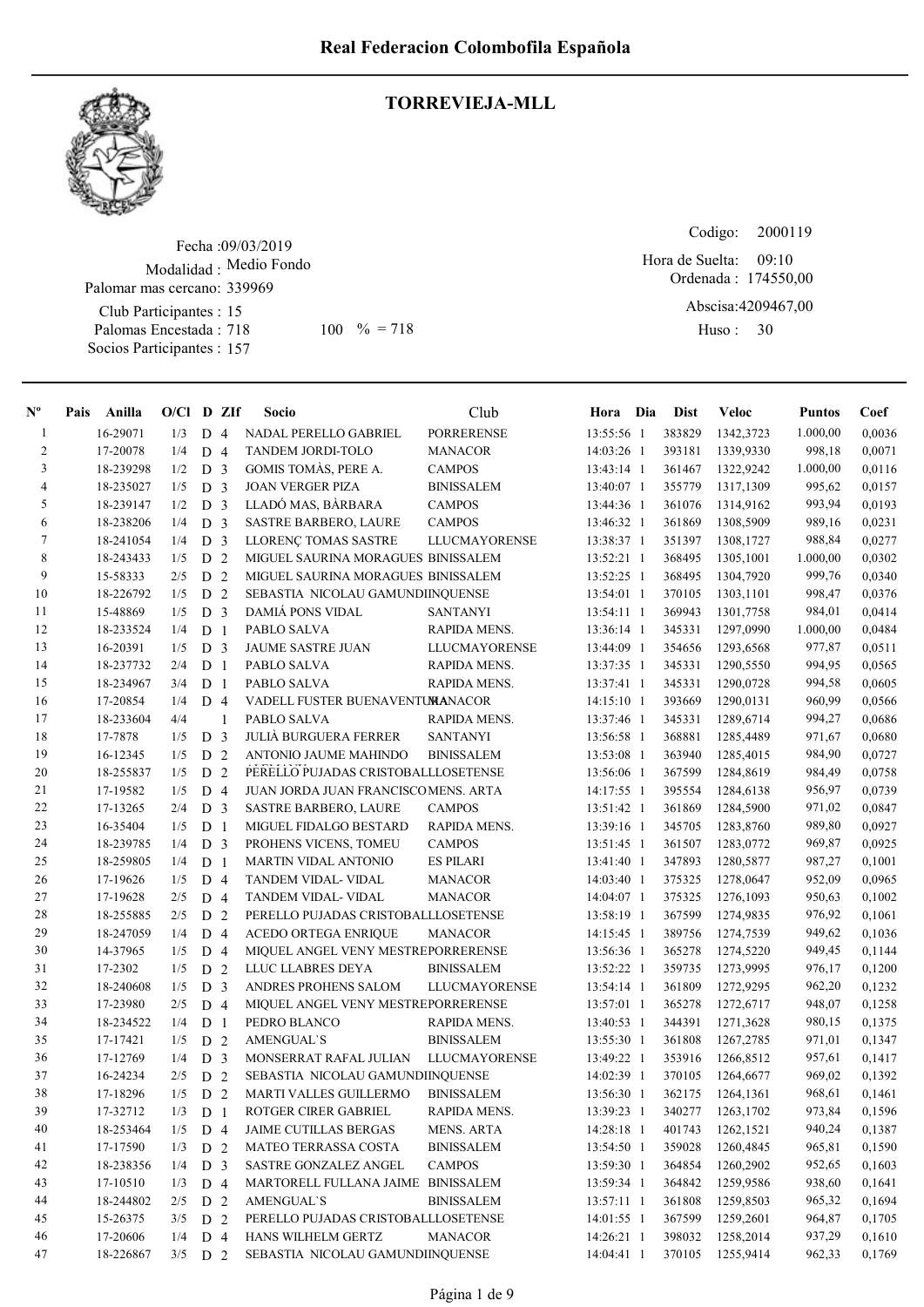

# TORREVIEJA-MLL

Fecha : 09/03/2019 Modalidad : Medio Fondo Club Participantes : 15 Palomar mas cercano: 339969

Palomas Encestada : 718 Socios Participantes : 157 718 100 % = 718 Huso: 30

Codigo: 2000119 Ordenada : 174550,00 Abscisa: 4209467,00 Hora de Suelta: 09:10

Huso: 30

| -1<br>$\overline{2}$ |           |           |                |                         | $O/Cl$ D ZIf<br>Socio               | Club                 | Hora Dia   | <b>Dist</b> | <b>Veloc</b> | <b>Puntos</b> | Coef   |
|----------------------|-----------|-----------|----------------|-------------------------|-------------------------------------|----------------------|------------|-------------|--------------|---------------|--------|
|                      | 16-29071  | 1/3       | D <sub>4</sub> |                         | NADAL PERELLO GABRIEL               | <b>PORRERENSE</b>    | 13:55:56 1 | 383829      | 1342,3723    | 1.000,00      | 0,0036 |
|                      | 17-20078  | 1/4       | D <sub>4</sub> |                         | TANDEM JORDI-TOLO                   | <b>MANACOR</b>       | 14:03:26 1 | 393181      | 1339,9330    | 998,18        | 0,0071 |
| $\mathfrak{Z}$       | 18-239298 | 1/2       | D <sub>3</sub> |                         | GOMIS TOMAS, PERE A.                | <b>CAMPOS</b>        | 13:43:14 1 | 361467      | 1322,9242    | 1.000,00      | 0,0116 |
| $\overline{4}$       | 18-235027 | 1/5       | D <sub>3</sub> |                         | <b>JOAN VERGER PIZA</b>             | <b>BINISSALEM</b>    | 13:40:07 1 | 355779      | 1317,1309    | 995,62        | 0,0157 |
| 5                    | 18-239147 | 1/2       | D <sub>3</sub> |                         | LLADÓ MAS, BÀRBARA                  | <b>CAMPOS</b>        | 13:44:36 1 | 361076      | 1314,9162    | 993,94        | 0,0193 |
| 6                    | 18-238206 | 1/4       | D <sub>3</sub> |                         | <b>SASTRE BARBERO, LAURE</b>        | <b>CAMPOS</b>        | 13:46:32 1 | 361869      | 1308,5909    | 989,16        | 0,0231 |
| 7                    | 18-241054 | 1/4       | D <sub>3</sub> |                         | LLORENÇ TOMAS SASTRE                | <b>LLUCMAYORENSE</b> | 13:38:37 1 | 351397      | 1308,1727    | 988,84        | 0,0277 |
| $\,8\,$              | 18-243433 | 1/5       | ${\rm D}$      | 2                       | MIGUEL SAURINA MORAGUES BINISSALEM  |                      | 13:52:21 1 | 368495      | 1305,1001    | 1.000,00      | 0,0302 |
| 9                    | 15-58333  | 2/5       | D              | 2                       | MIGUEL SAURINA MORAGUES BINISSALEM  |                      | 13:52:25 1 | 368495      | 1304,7920    | 999,76        | 0.0340 |
| 10                   | 18-226792 | 1/5       | D <sub>2</sub> |                         | SEBASTIA NICOLAU GAMUNDIINQUENSE    |                      | 13:54:01 1 | 370105      | 1303,1101    | 998,47        | 0,0376 |
| 11                   | 15-48869  | 1/5       | D <sub>3</sub> |                         | <b>DAMIA PONS VIDAL</b>             | SANTANYI             | 13:54:11 1 | 369943      | 1301,7758    | 984,01        | 0,0414 |
| 12                   | 18-233524 | 1/4       | D <sub>1</sub> |                         | PABLO SALVA                         | RAPIDA MENS.         | 13:36:14 1 | 345331      | 1297,0990    | 1.000,00      | 0,0484 |
| 13                   | 16-20391  | 1/5       | D <sub>3</sub> |                         | JAUME SASTRE JUAN                   | LLUCMAYORENSE        | 13:44:09 1 | 354656      | 1293,6568    | 977,87        | 0,0511 |
| 14                   | 18-237732 | 2/4       | D <sub>1</sub> |                         | PABLO SALVA                         | RAPIDA MENS.         | 13:37:35 1 | 345331      | 1290,5550    | 994,95        | 0,0565 |
| 15                   | 18-234967 | 3/4       | D <sub>1</sub> |                         | PABLO SALVA                         | RAPIDA MENS.         | 13:37:41 1 | 345331      | 1290,0728    | 994,58        | 0,0605 |
| 16                   | 17-20854  | 1/4       | D <sub>4</sub> |                         | VADELL FUSTER BUENAVENTUMANACOR     |                      | 14:15:10 1 | 393669      | 1290,0131    | 960,99        | 0,0566 |
| 17                   | 18-233604 | 4/4       |                | 1                       | PABLO SALVA                         | RAPIDA MENS.         | 13:37:46 1 | 345331      | 1289,6714    | 994,27        | 0,0686 |
| 18                   | 17-7878   | 1/5       | D              | $\overline{\mathbf{3}}$ | <b>JULIÀ BURGUERA FERRER</b>        | <b>SANTANYI</b>      | 13:56:58 1 | 368881      | 1285,4489    | 971,67        | 0,0680 |
| 19                   | 16-12345  | 1/5       | ${\rm D}$      | 2                       | ANTONIO JAUME MAHINDO               | <b>BINISSALEM</b>    | 13:53:08 1 | 363940      | 1285,4015    | 984,90        | 0,0727 |
| 20                   | 18-255837 | 1/5       | D 2            |                         | PERELLO PUJADAS CRISTOBALLLOSETENSE |                      | 13:56:06 1 | 367599      | 1284,8619    | 984,49        | 0,0758 |
| 21                   | 17-19582  | 1/5       | D 4            |                         | JUAN JORDA JUAN FRANCISCOMENS. ARTA |                      | 14:17:55 1 | 395554      | 1284,6138    | 956,97        | 0,0739 |
| 22                   | 17-13265  | 2/4       | D <sub>3</sub> |                         | <b>SASTRE BARBERO, LAURE</b>        | <b>CAMPOS</b>        | 13:51:42 1 | 361869      | 1284,5900    | 971,02        | 0,0847 |
| 23                   | 16-35404  | 1/5       | D <sub>1</sub> |                         | MIGUEL FIDALGO BESTARD              | RAPIDA MENS.         | 13:39:16 1 | 345705      | 1283,8760    | 989,80        | 0,0927 |
| 24                   | 18-239785 | 1/4       | D <sub>3</sub> |                         | PROHENS VICENS, TOMEU               | <b>CAMPOS</b>        | 13:51:45 1 | 361507      | 1283,0772    | 969,87        | 0,0925 |
| 25                   | 18-259805 | 1/4       | D              | $\overline{1}$          | <b>MARTIN VIDAL ANTONIO</b>         | <b>ES PILARI</b>     | 13:41:40 1 | 347893      | 1280,5877    | 987,27        | 0,1001 |
| 26                   | 17-19626  | 1/5       | D <sub>4</sub> |                         | TANDEM VIDAL- VIDAL                 | <b>MANACOR</b>       | 14:03:40 1 | 375325      | 1278,0647    | 952,09        | 0,0965 |
| 27                   | 17-19628  | 2/5       | D <sub>4</sub> |                         | TANDEM VIDAL- VIDAL                 | <b>MANACOR</b>       | 14:04:07 1 | 375325      | 1276,1093    | 950,63        | 0,1002 |
| 28                   | 18-255885 | 2/5       | D              | 2                       | PERELLO PUJADAS CRISTOBALLLOSETENSE |                      | 13:58:19 1 | 367599      | 1274,9835    | 976,92        | 0,1061 |
| 29                   | 18-247059 | 1/4       | D <sub>4</sub> |                         | <b>ACEDO ORTEGA ENRIQUE</b>         | <b>MANACOR</b>       | 14:15:45 1 | 389756      | 1274,7539    | 949,62        | 0,1036 |
| 30                   | 14-37965  | 1/5       | D <sub>4</sub> |                         | MIQUEL ANGEL VENY MESTREPORRERENSE  |                      | 13:56:36 1 | 365278      | 1274,5220    | 949,45        | 0,1144 |
| 31                   | 17-2302   | 1/5       | D              | 2                       | LLUC LLABRES DEYA                   | <b>BINISSALEM</b>    | 13:52:22 1 | 359735      | 1273,9995    | 976,17        | 0,1200 |
| 32                   | 18-240608 | 1/5       | D <sub>3</sub> |                         | ANDRES PROHENS SALOM                | <b>LLUCMAYORENSE</b> | 13:54:14 1 | 361809      | 1272,9295    | 962,20        | 0,1232 |
| 33                   | 17-23980  | 2/5       | D 4            |                         | MIQUEL ANGEL VENY MESTREPORRERENSE  |                      | 13:57:01 1 | 365278      | 1272,6717    | 948,07        | 0,1258 |
| 34                   | 18-234522 | 1/4       | D <sub>1</sub> |                         | PEDRO BLANCO                        | RAPIDA MENS.         | 13:40:53 1 | 344391      | 1271,3628    | 980,15        | 0,1375 |
| 35                   | 17-17421  | 1/5       | D <sub>2</sub> |                         | <b>AMENGUAL'S</b>                   | <b>BINISSALEM</b>    | 13:55:30 1 | 361808      | 1267,2785    | 971,01        | 0,1347 |
| 36                   | 17-12769  | 1/4       | D <sub>3</sub> |                         | MONSERRAT RAFAL JULIAN              | LLUCMAYORENSE        | 13:49:22 1 | 353916      | 1266,8512    | 957,61        | 0,1417 |
| 37                   | 16-24234  | 2/5       | D <sub>2</sub> |                         | SEBASTIA NICOLAU GAMUNDIINQUENSE    |                      | 14:02:39 1 | 370105      | 1264,6677    | 969,02        | 0,1392 |
| 38                   | 17-18296  | 1/5       | D 2            |                         | MARTI VALLES GUILLERMO BINISSALEM   |                      | 13:56:30 1 | 362175      | 1264,1361    | 968,61        | 0,1461 |
| 39                   | 17-32712  | 1/3       | D <sub>1</sub> |                         | ROTGER CIRER GABRIEL                | RAPIDA MENS.         | 13:39:23 1 | 340277      | 1263,1702    | 973,84        | 0,1596 |
| 40                   | 18-253464 | 1/5       | D 4            |                         | <b>JAIME CUTILLAS BERGAS</b>        | <b>MENS. ARTA</b>    | 14:28:18 1 | 401743      | 1262,1521    | 940,24        | 0,1387 |
| 41                   | 17-17590  | 1/3       | D 2            |                         | MATEO TERRASSA COSTA                | <b>BINISSALEM</b>    | 13:54:50 1 | 359028      | 1260,4845    | 965,81        | 0,1590 |
| 42                   | 18-238356 | 1/4       | D <sub>3</sub> |                         | SASTRE GONZALEZ ANGEL               | <b>CAMPOS</b>        | 13:59:30 1 | 364854      | 1260,2902    | 952,65        | 0,1603 |
| 43                   | 17-10510  | 1/3       | D 4            |                         | MARTORELL FULLANA JAIME BINISSALEM  |                      | 13:59:34 1 | 364842      | 1259,9586    | 938,60        | 0,1641 |
| 44                   | 18-244802 | 2/5       | D 2            |                         | <b>AMENGUAL'S</b>                   | <b>BINISSALEM</b>    | 13:57:11 1 | 361808      | 1259,8503    | 965,32        | 0,1694 |
| 45                   | 15-26375  | 3/5       | D 2            |                         | PERELLO PUJADAS CRISTOBALLLOSETENSE |                      | 14:01:55 1 | 367599      | 1259,2601    | 964,87        | 0,1705 |
| 46                   | 17-20606  | 1/4       | D 4            |                         | HANS WILHELM GERTZ                  | <b>MANACOR</b>       | 14:26:21 1 | 398032      | 1258,2014    | 937,29        | 0,1610 |
| 47                   | 18-226867 | $3/5$ D 2 |                |                         | SEBASTIA NICOLAU GAMUNDIINQUENSE    |                      | 14:04:41 1 | 370105      | 1255,9414    | 962,33        | 0,1769 |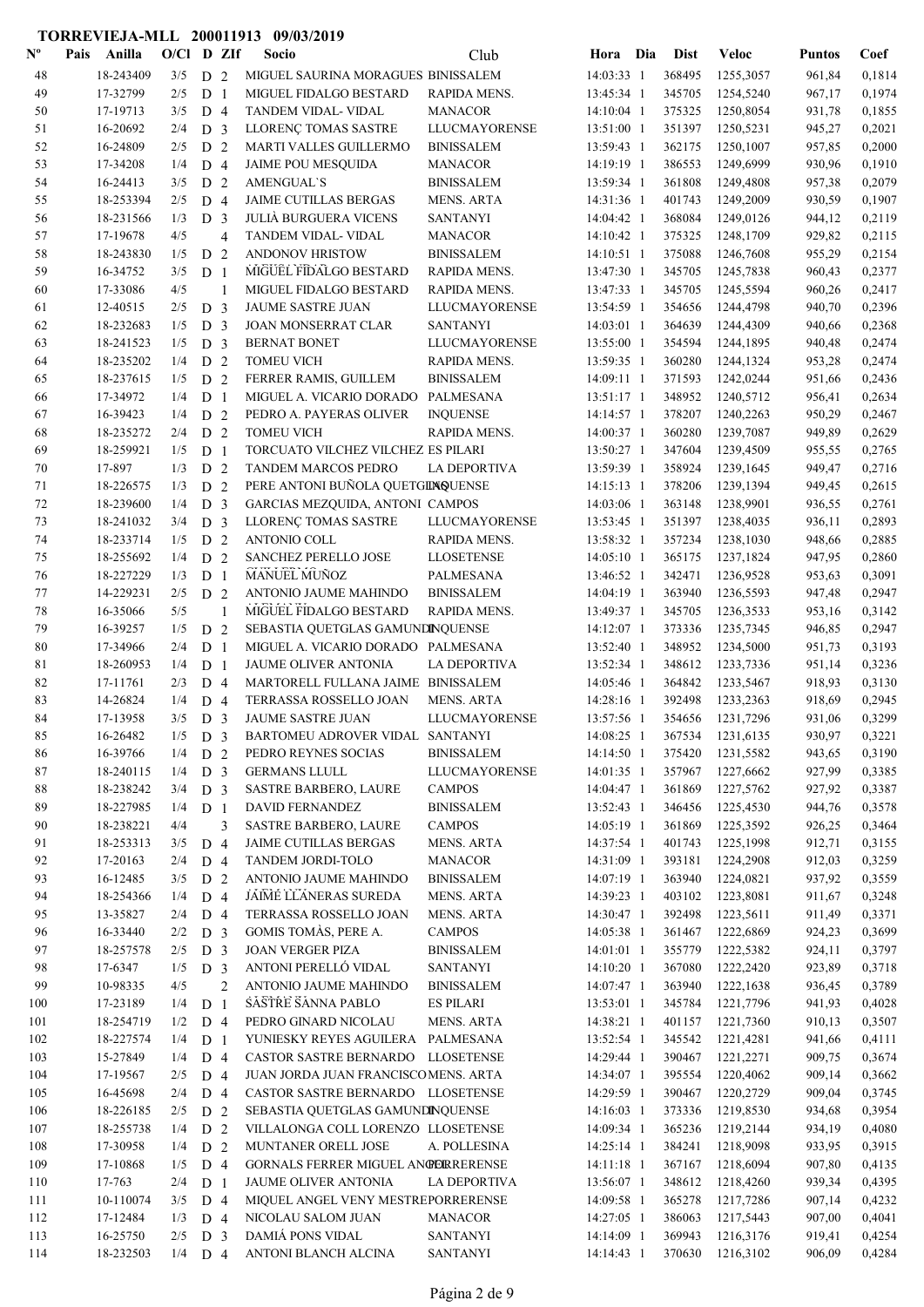#### Nº Pais Anilla O/Cl D ZIf Socio Club Hora Dia Dist Veloc Pais Anilla Socio O/Cl D ZIf Puntos Coef Club Dist 48 18-243409 3/5 D 2 MIGUEL SAURINA MORAGUES BINISSALEM 14:03:33 1 368495 1255,3057 961,84 0,1814 49 17-32799 2/5 D 1 MIGUEL FIDALGO BESTARD RAPIDA MENS. 13:45:34 1 345705 1254,5240 967,17 0,1974 50 17-19713 3/5 D 4 TANDEM VIDAL- VIDAL MANACOR 14:10:04 1 375325 1250,8054 931,78 0,1855 51 LLORENÇ TOMAS SASTRE 16-20692 13:51:00 1 351397 2/4 D 3 LLUCMAYORENSE 1250,5231 945,27 0,2021 52 16-24809 2/5 D 2 MARTI VALLES GUILLERMO BINISSALEM 13:59:43 1 362175 1250,1007 957,85 0,2000 53 17-34208 1/4 D 4 JAIME POU MESOUIDA MANACOR 14:19:19 1 386553 1249,6999 930,96 0,1910 54 16-24413 3/5 D 2 AMENGUAL`S BINISSALEM 13:59:34 1 361808 1249,4808 957,38 0,2079 55 18-253394 2/5 D 4 JAIME CUTILLAS BERGAS MENS. ARTA 14:31:36 1 401743 1249,2009 930,59 0,1907 56 18-231566 1/3 D 3 JULIÀ BURGUERA VICENS SANTANYI 14:04:42 1 368084 1249.0126 944.12 0.2119 57 17-19678 4/5 4 TANDEM VIDAL- VIDAL MANACOR 14:10:42 1 375325 1248.1709 929.82 0.2115 58 18-243830 1/5 D 2 ANDONOV HRISTOW BINISSALEM 14:10:51 1 375088 1246,7608 955,29 0,2154 59 16-34752 3/5 D 1 MIGUEL FIDALGO BESTARD RAPIDA MENS. 13:47:30 1 345705 1245,7838 960,43 0,2377 60 17-33086 4/5 1 MIGUEL FIDALGO BESTARD RAPIDA MENS. 13:47:33 1 345705 1245,5594 960,26 0,2417 61 12-40515 2/5 D 3 JAUME SASTRE JUAN LLUCMAYORENSE 13:54:59 1 354656 1244,4798 940,70 0,2396 62 18-232683 1/5 D 3 JOAN MONSERRAT CLAR SANTANYI 14:03:01 1 364639 1244,4309 940,66 0,2368 63 18-241523 1/5 D 3 BERNAT BONET LLUCMAYORENSE 13:55:00 1 354594 1244,1895 940,48 0,2474 64 18-235202 1/4 D 2 TOMEU VICH RAPIDA MENS. 13:59:35 1 360280 1244,1324 953,28 0,2474 65 18-237615 1/5 D 2 FERRER RAMIS, GUILLEM BINISSALEM 14:09:11 1 371593 1242,0244 951,66 0.2436 66 17-34972 1/4 D 1 MIGUEL A. VICARIO DORADO PALMESANA 13:51:17 1 348952 1240,5712 956,41 0,2634 67 16-39423 1/4 D 2 PEDRO A. PAYERAS OLIVER INQUENSE 14:14:57 1 378207 1240,2263 950,29 0,2467<br>68 18-235272 2/4 D 2 TOMEU VICH RAPIDA MENS. 14:00:37 1 360280 1239.7087 949.89 0.2629 68 18-235272 2/4 D 2 TOMEU VICH RAPIDA MENS. 14:00:37 1 360280 1239,7087 949,89 0,2629 69 18-259921 1/5 D 1 TORCUATO VILCHEZ VILCHEZ ES PILARI 13:50:27 1 347604 1239,4509 955,55 0,2765 70 17-897 1/3 D 2 TANDEM MARCOS PEDRO LA DEPORTIVA 13:59:39 1 358924 1239,1645 949,47 0,2716<br>71 18-226575 1/3 D 2 PERE ANTONI BUÑOLA OUETGIDAQUENSE 14:15:13 1 378206 1239.1394 949.45 0.2615 71 18-226575 1/3 D 2 PERE ANTONI BUÑOLA OUETGILNOUENSE 14:15:13 1 378206 1239.1394 949.45 0.2615 72 18-239600 1/4 D 3 GARCIAS MEZQUIDA, ANTONI CAMPOS 14:03:06 1 363148 1238,9901 936,55 0,2761 73 LLORENÇ TOMAS SASTRE 18-241032 13:53:45 1 351397 3/4 D 3 LLUCMAYORENSE 1238,4035 936,11 0,2893 74 18-233714 1/5 D 2 ANTONIO COLL RAPIDA MENS. 13:58:32 1 357234 1238,1030 948,66 0,2885 75 18-255692 1/4 D 2 SANCHEZ PERELLO JOSE LLOSETENSE 14:05:10 1 365175 1237,1824 947,95 0,2860 MANUEL MUÑOZ 76 18-227229 1/3 D 1 MANUEL MUÑOZ PALMESANA 13:46:52 1 342471 1236,9528 953,63 0,3091 77 14-229231 2/5 D 2 ANTONIO JAUME MAHINDO BINISSALEM 14:04:19 1 363940 1236,5593 947,48 0,2947 78 16-35066 5/5 1 MIGUEL FIDALGO BESTARD RAPIDA MENS. 13:49:37 1 345705 1236,3533 953,16 0,3142 79 16-39257 1/5 D 2 SEBASTIA QUETGLAS GAMUNDINQUENSE 14:12:07 1 373336 1235,7345 946,85 0,2947 80 17-34966 2/4 D 1 MIGUEL A. VICARIO DORADO PALMESANA 13:52:40 1 348952 1234,5000 951,73 0,3193 81 18-260953 1/4 D 1 JAUME OLIVER ANTONIA LA DEPORTIVA 13:52:34 1 348612 1233,7336 951,14 0,3236 82 17-11761 2/3 D 4 MARTORELL FULLANA JAIME BINISSALEM 14:05:46 1 364842 1233,5467 918,93 0,3130 83 14-26824 1/4 D 4 TERRASSA ROSSELLO JOAN MENS. ARTA 14:28:16 1 392498 1233,2363 918,69 0,2945 84 17-13958 3/5 D 3 JAUME SASTRE JUAN LLUCMAYORENSE 13:57:56 1 354656 1231,7296 931,06 0,3299 85 16-26482 1/5 D 3 BARTOMEU ADROVER VIDAL SANTANYI 14:08:25 1 367534 1231,6135 930,97 0,3221 86 16-39766 1/4 D 2 PEDRO REYNES SOCIAS BINISSALEM 14:14:50 1 375420 1231,5582 943,65 0,3190 87 18-240115 1/4 D 3 GERMANS LLULL LLUCMAYORENSE 14:01:35 1 357967 1227,6662 927,99 0,3385 88 18-238242 3/4 D 3 SASTRE BARBERO, LAURE CAMPOS 14:04:47 1 361869 1227,5762 927,92 0,3387<br>89 18-227985 1/4 D 1 DAVID-FERNANDEZ BINISSALEM 13:52:43 1 346456 1225.4530 944.76 0.3578 1/4 D 1 DAVID FERNANDEZ BINISSALEM 13:52:43 1 346456 1225,4530 944,76 0,3578 90 18-238221 4/4 3 SASTRE BARBERO, LAURE CAMPOS 14:05:19 1 361869 1225,3592 926,25 0,3464 91 18-253313 3/5 D 4 JAIME CUTILLAS BERGAS MENS. ARTA 14:37:54 1 401743 1225,1998 912,71 0,3155 92 17-20163 2/4 D 4 TANDEM JORDI-TOLO MANACOR 14:31:09 1 393181 1224,2908 912,03 0,3259 93 16-12485 3/5 D 2 ANTONIO JAUME MAHINDO BINISSALEM 14:07:19 1 363940 1224,0821 937,92 0,3559 94 18-254366 1/4 D 4 JAIME LLANERAS SUREDA MENS. ARTA 14:39:23 1 403102 1223,8081 911,67 0,3248 95 13-35827 2/4 D 4 TERRASSA ROSSELLO JOAN MENS. ARTA 14:30:47 1 392498 1223,5611 911,49 0,3371 96 16-33440 2/2 D 3 GOMIS TOMÀS, PERE A. CAMPOS 14:05:38 1 361467 1222,6869 924,23 0,3699 97 18-257578 2/5 D 3 JOAN VERGER PIZA BINISSALEM 14:01:01 1 355779 1222,5382 924,11 0,3797 98 17-6347 1/5 D 3 ANTONI PERELLÓ VIDAL SANTANYI 14:10:20 1 367080 1222.2420 923.89 0.3718 99 10-98335 4/5 2 ANTONIO JAUME MAHINDO BINISSALEM 14:07:47 1 363940 1222,1638 936,45 0,3789 SASTRE SANNA PARLO 100 17-23189 1/4 D 1 SASTRE SANNA PABLO ES PILARI 13:53:01 1 345784 1221,7796 941,93 0,4028 101 18-254719 1/2 D 4 PEDRO GINARD NICOLAU MENS. ARTA 14:38:21 1 401157 1221,7360 910,13 0,3507 102 18-227574 1/4 D 1 YUNIESKY REYES AGUILERA PALMESANA 13:52:54 1 345542 1221,4281 941,66 0,4111 103 15-27849 1/4 D 4 CASTOR SASTRE BERNARDO LLOSETENSE 14:29:44 1 390467 1221,2271 909,75 0,3674 104 17-19567 2/5 D 4 JUAN JORDA JUAN FRANCISCOMENS. ARTA 14:34:07 1 395554 1220,4062 909,14 0,3662 105 16-45698 2/4 D 4 CASTOR SASTRE BERNARDO LLOSETENSE 14:29:59 1 390467 1220,2729 909,04 0,3745 106 18-226185 2/5 D 2 SEBASTIA QUETGLAS GAMUNDINQUENSE 14:16:03 1 373336 1219,8530 934,68 0,3954 107 18-255738 1/4 D 2 VILLALONGA COLL LORENZO LLOSETENSE 14:09:34 1 365236 1219,2144 934,19 0,4080 108 17-30958 1/4 D 2 MUNTANER ORELL JOSE A. POLLESINA 14:25:14 1 384241 1218,9098 933,95 0,3915<br>109 17-10868 1/5 D 4 GORNALS FERRER MIGUEL ANGERRERENSE 14:11:18 1 367167 1218,6094 907.80 0.4135 17-10868 1/5 D 4 GORNALS FERRER MIGUEL ANGEL ERRER ENSEMBLE 14:11:18 1 367167 1218,6094 907,80 0,4135<br>17-763 2/4 D 1 JAUME OLIVER ANTONIA LA DEPORTIVA 13:56:07 1 348612 1218.4260 939.34 0.4395 110 17-763 2/4 D 1 JAUME OLIVER ANTONIA LA DEPORTIVA 13:56:07 1 348612 1218,4260 939,34 0,4395 111 10-110074 3/5 D 4 MIQUEL ANGEL VENY MESTREPORRERENSE 14:09:58 1 365278 1217,7286 907,14 0,4232 112 17-12484 1/3 D 4 NICOLAU SALOM JUAN MANACOR 14:27:05 1 386063 1217,5443 907,00 0,4041 113 16-25750 2/5 D 3 DAMIÁ PONS VIDAL SANTANYI 14:14:09 1 369943 1216,3176 919,41 0,4254

TORREVIEJA-MLL 200011913 09/03/2019

114 18-232503 1/4 D 4 ANTONI BLANCH ALCINA SANTANYI 14:14:43 1 370630 1216,3102 906,09 0,4284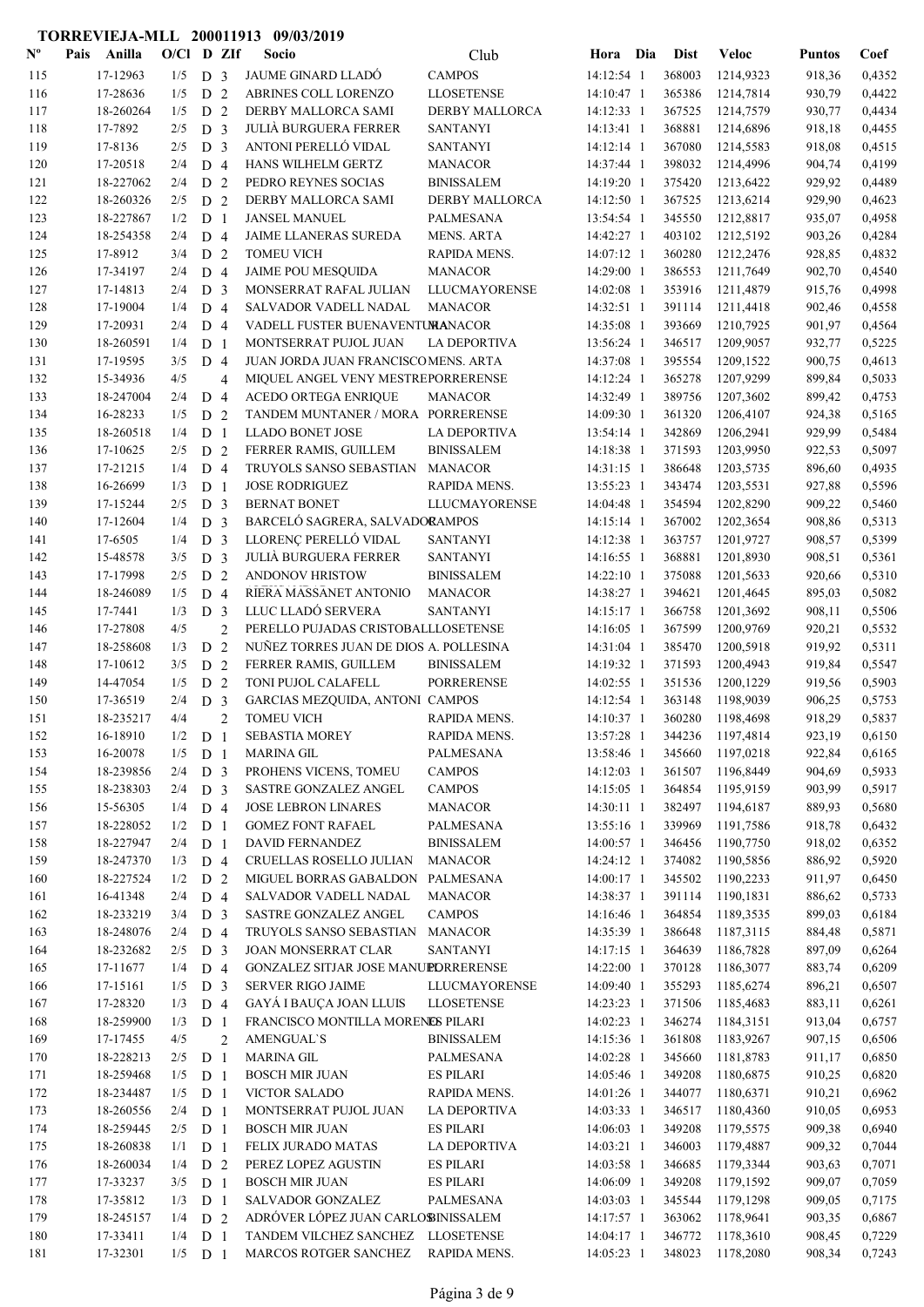| ${\bf N^o}$ | Pais | Anilla    | $O/CI$ D ZIf |                |                | Socio                                  | Club                  | Hora Dia     | <b>Dist</b> | <b>Veloc</b> | <b>Puntos</b> | Coef   |
|-------------|------|-----------|--------------|----------------|----------------|----------------------------------------|-----------------------|--------------|-------------|--------------|---------------|--------|
| 115         |      | 17-12963  | 1/5          | D <sub>3</sub> |                | JAUME GINARD LLADÓ                     | <b>CAMPOS</b>         | 14:12:54 1   | 368003      | 1214,9323    | 918,36        | 0,4352 |
| 116         |      | 17-28636  | 1/5          | D <sub>2</sub> |                | ABRINES COLL LORENZO                   | <b>LLOSETENSE</b>     | 14:10:47 1   | 365386      | 1214,7814    | 930,79        | 0,4422 |
| 117         |      | 18-260264 | 1/5          | D <sub>2</sub> |                | DERBY MALLORCA SAMI                    | <b>DERBY MALLORCA</b> | 14:12:33 1   | 367525      | 1214,7579    | 930,77        | 0,4434 |
| 118         |      | 17-7892   | 2/5          | D <sub>3</sub> |                | <b>JULIÀ BURGUERA FERRER</b>           | <b>SANTANYI</b>       | 14:13:41 1   | 368881      | 1214,6896    | 918,18        | 0,4455 |
| 119         |      | 17-8136   | 2/5          | D <sub>3</sub> |                | ANTONI PERELLÓ VIDAL                   | <b>SANTANYI</b>       | 14:12:14 1   | 367080      | 1214,5583    | 918,08        | 0,4515 |
| 120         |      | 17-20518  | 2/4          | D <sub>4</sub> |                | HANS WILHELM GERTZ                     | <b>MANACOR</b>        | 14:37:44 1   | 398032      | 1214,4996    | 904,74        | 0,4199 |
| 121         |      | 18-227062 | 2/4          | D <sub>2</sub> |                | PEDRO REYNES SOCIAS                    | <b>BINISSALEM</b>     | 14:19:20 1   | 375420      | 1213,6422    | 929,92        | 0,4489 |
| 122         |      | 18-260326 | 2/5          | D <sub>2</sub> |                | DERBY MALLORCA SAMI                    | <b>DERBY MALLORCA</b> | 14:12:50 1   | 367525      | 1213,6214    | 929,90        | 0,4623 |
| 123         |      | 18-227867 | 1/2          | D <sub>1</sub> |                | <b>JANSEL MANUEL</b>                   | <b>PALMESANA</b>      | 13:54:54 1   | 345550      | 1212,8817    | 935,07        | 0,4958 |
| 124         |      | 18-254358 | 2/4          | D <sub>4</sub> |                | JAIME LLANERAS SUREDA                  | <b>MENS. ARTA</b>     | 14:42:27 1   | 403102      | 1212,5192    | 903,26        | 0,4284 |
| 125         |      | 17-8912   | 3/4          | D <sub>2</sub> |                | <b>TOMEU VICH</b>                      | RAPIDA MENS.          | 14:07:12 1   | 360280      | 1212,2476    | 928,85        | 0,4832 |
| 126         |      | 17-34197  | 2/4          | D <sub>4</sub> |                | <b>JAIME POU MESQUIDA</b>              | <b>MANACOR</b>        | 14:29:00 1   | 386553      | 1211,7649    | 902,70        | 0,4540 |
| 127         |      | 17-14813  | 2/4          | D <sub>3</sub> |                | MONSERRAT RAFAL JULIAN                 | LLUCMAYORENSE         | 14:02:08 1   | 353916      | 1211,4879    | 915,76        | 0,4998 |
| 128         |      | 17-19004  | 1/4          | D <sub>4</sub> |                | SALVADOR VADELL NADAL                  | <b>MANACOR</b>        | 14:32:51 1   | 391114      | 1211,4418    | 902,46        | 0,4558 |
| 129         |      | 17-20931  | 2/4          | D <sub>4</sub> |                | VADELL FUSTER BUENAVENTUMANACOR        |                       | 14:35:08 1   | 393669      | 1210,7925    | 901,97        | 0,4564 |
| 130         |      | 18-260591 | 1/4          | D <sub>1</sub> |                | MONTSERRAT PUJOL JUAN                  | <b>LA DEPORTIVA</b>   | 13:56:24 1   | 346517      | 1209,9057    | 932,77        | 0,5225 |
| 131         |      | 17-19595  | 3/5          | D <sub>4</sub> |                | JUAN JORDA JUAN FRANCISCOMENS. ARTA    |                       | 14:37:08 1   | 395554      | 1209,1522    | 900,75        | 0,4613 |
| 132         |      | 15-34936  | 4/5          |                | $\overline{4}$ | MIQUEL ANGEL VENY MESTREPORRERENSE     |                       | 14:12:24 1   | 365278      | 1207,9299    | 899,84        | 0,5033 |
| 133         |      | 18-247004 | 2/4          | D <sub>4</sub> |                | <b>ACEDO ORTEGA ENRIQUE</b>            | <b>MANACOR</b>        | 14:32:49 1   | 389756      | 1207,3602    | 899,42        | 0,4753 |
| 134         |      | 16-28233  | 1/5          | D <sub>2</sub> |                | TANDEM MUNTANER / MORA PORRERENSE      |                       | 14:09:30 1   | 361320      | 1206,4107    | 924,38        | 0,5165 |
| 135         |      | 18-260518 | 1/4          | D <sub>1</sub> |                | <b>LLADO BONET JOSE</b>                | <b>LA DEPORTIVA</b>   | 13:54:14 1   | 342869      | 1206,2941    | 929,99        | 0,5484 |
| 136         |      | 17-10625  | 2/5          | D <sub>2</sub> |                | FERRER RAMIS, GUILLEM                  | <b>BINISSALEM</b>     | 14:18:38 1   | 371593      | 1203,9950    | 922,53        | 0,5097 |
| 137         |      | 17-21215  | 1/4          | D 4            |                | TRUYOLS SANSO SEBASTIAN                | <b>MANACOR</b>        | 14:31:15 1   | 386648      | 1203,5735    | 896,60        | 0,4935 |
| 138         |      | 16-26699  | 1/3          | D <sub>1</sub> |                | <b>JOSE RODRIGUEZ</b>                  | RAPIDA MENS.          | 13:55:23 1   | 343474      | 1203,5531    | 927,88        | 0,5596 |
| 139         |      | 17-15244  | 2/5          | D <sub>3</sub> |                | <b>BERNAT BONET</b>                    | LLUCMAYORENSE         | 14:04:48 1   | 354594      | 1202,8290    | 909,22        | 0,5460 |
| 140         |      | 17-12604  | 1/4          | D <sub>3</sub> |                | BARCELÓ SAGRERA, SALVADORAMPOS         |                       | 14:15:14 1   | 367002      | 1202,3654    | 908,86        | 0,5313 |
| 141         |      | 17-6505   | 1/4          | D <sub>3</sub> |                | LLORENÇ PERELLÓ VIDAL                  | <b>SANTANYI</b>       | 14:12:38 1   | 363757      | 1201,9727    | 908,57        | 0,5399 |
| 142         |      | 15-48578  | 3/5          | D <sub>3</sub> |                | <b>JULIÀ BURGUERA FERRER</b>           | <b>SANTANYI</b>       | 14:16:55 1   | 368881      | 1201,8930    | 908,51        | 0,5361 |
| 143         |      | 17-17998  | 2/5          | D 2            |                | <b>ANDONOV HRISTOW</b>                 | <b>BINISSALEM</b>     | 14:22:10 1   | 375088      | 1201,5633    | 920,66        | 0,5310 |
| 144         |      | 18-246089 | 1/5          | D 4            |                | RIERA MASSANET ANTONIO                 | <b>MANACOR</b>        | 14:38:27 1   | 394621      | 1201,4645    | 895,03        | 0,5082 |
| 145         |      | 17-7441   | 1/3          | D <sub>3</sub> |                | LLUC LLADÓ SERVERA                     | <b>SANTANYI</b>       | $14:15:17$ 1 | 366758      | 1201,3692    | 908,11        | 0,5506 |
| 146         |      | 17-27808  | 4/5          |                | $\overline{2}$ | PERELLO PUJADAS CRISTOBALLLOSETENSE    |                       | 14:16:05 1   | 367599      | 1200,9769    | 920,21        | 0,5532 |
| 147         |      | 18-258608 | 1/3          | D              | 2              | NUÑEZ TORRES JUAN DE DIOS A. POLLESINA |                       | 14:31:04 1   | 385470      | 1200,5918    | 919,92        | 0,5311 |
| 148         |      | 17-10612  | 3/5          | D <sub>2</sub> |                | FERRER RAMIS, GUILLEM                  | <b>BINISSALEM</b>     | 14:19:32 1   | 371593      | 1200,4943    | 919,84        | 0,5547 |
| 149         |      | 14-47054  | 1/5          | D <sub>2</sub> |                | TONI PUJOL CALAFELL                    | <b>PORRERENSE</b>     | 14:02:55 1   | 351536      | 1200,1229    | 919,56        | 0,5903 |
| 150         |      | 17-36519  | 2/4          | D <sub>3</sub> |                | GARCIAS MEZQUIDA, ANTONI CAMPOS        |                       | 14:12:54 1   | 363148      | 1198,9039    | 906,25        | 0,5753 |
| 151         |      | 18-235217 | 4/4          |                | $\overline{2}$ | <b>TOMEU VICH</b>                      | RAPIDA MENS.          | 14:10:37 1   | 360280      | 1198,4698    | 918,29        | 0,5837 |
|             |      | 16-18910  |              |                |                | <b>SEBASTIA MOREY</b>                  | RAPIDA MENS.          |              | 344236      | 1197,4814    | 923,19        | 0,6150 |
| 152         |      |           | 1/2          | D <sub>1</sub> |                | <b>MARINA GIL</b>                      | <b>PALMESANA</b>      | 13:57:28 1   |             | 1197,0218    |               |        |
| 153         |      | 16-20078  | 1/5          | D <sub>1</sub> |                |                                        | <b>CAMPOS</b>         | 13:58:46 1   | 345660      | 1196,8449    | 922,84        | 0,6165 |
| 154         |      | 18-239856 | 2/4          | D <sub>3</sub> |                | PROHENS VICENS, TOMEU                  |                       | 14:12:03 1   | 361507      |              | 904,69        | 0,5933 |
| 155         |      | 18-238303 | 2/4          | D <sub>3</sub> |                | SASTRE GONZALEZ ANGEL                  | <b>CAMPOS</b>         | 14:15:05 1   | 364854      | 1195,9159    | 903,99        | 0,5917 |
| 156         |      | 15-56305  | 1/4          | D <sub>4</sub> |                | <b>JOSE LEBRON LINARES</b>             | <b>MANACOR</b>        | 14:30:11 1   | 382497      | 1194,6187    | 889,93        | 0,5680 |
| 157         |      | 18-228052 | 1/2          | D <sub>1</sub> |                | <b>GOMEZ FONT RAFAEL</b>               | <b>PALMESANA</b>      | 13:55:16 1   | 339969      | 1191,7586    | 918,78        | 0,6432 |
| 158         |      | 18-227947 | 2/4          | D <sub>1</sub> |                | <b>DAVID FERNANDEZ</b>                 | <b>BINISSALEM</b>     | 14:00:57 1   | 346456      | 1190,7750    | 918,02        | 0,6352 |
| 159         |      | 18-247370 | 1/3          | D <sub>4</sub> |                | CRUELLAS ROSELLO JULIAN                | <b>MANACOR</b>        | 14:24:12 1   | 374082      | 1190,5856    | 886,92        | 0,5920 |
| 160         |      | 18-227524 | 1/2          | D <sub>2</sub> |                | MIGUEL BORRAS GABALDON                 | PALMESANA             | 14:00:17 1   | 345502      | 1190,2233    | 911,97        | 0,6450 |
| 161         |      | 16-41348  | 2/4          | D <sub>4</sub> |                | SALVADOR VADELL NADAL                  | <b>MANACOR</b>        | 14:38:37 1   | 391114      | 1190,1831    | 886,62        | 0,5733 |
| 162         |      | 18-233219 | 3/4          | D <sub>3</sub> |                | SASTRE GONZALEZ ANGEL                  | <b>CAMPOS</b>         | 14:16:46 1   | 364854      | 1189,3535    | 899,03        | 0,6184 |
| 163         |      | 18-248076 | 2/4          | D <sub>4</sub> |                | TRUYOLS SANSO SEBASTIAN                | <b>MANACOR</b>        | 14:35:39 1   | 386648      | 1187,3115    | 884,48        | 0,5871 |
| 164         |      | 18-232682 | 2/5          | D <sub>3</sub> |                | JOAN MONSERRAT CLAR                    | <b>SANTANYI</b>       | 14:17:15 1   | 364639      | 1186,7828    | 897,09        | 0,6264 |
| 165         |      | 17-11677  | 1/4          | D <sub>4</sub> |                | GONZALEZ SITJAR JOSE MANUPDRRERENSE    |                       | 14:22:00 1   | 370128      | 1186,3077    | 883,74        | 0,6209 |
| 166         |      | 17-15161  | 1/5          | D <sub>3</sub> |                | <b>SERVER RIGO JAIME</b>               | LLUCMAYORENSE         | 14:09:40 1   | 355293      | 1185,6274    | 896,21        | 0,6507 |
| 167         |      | 17-28320  | 1/3          | D 4            |                | GAYÁ I BAUÇA JOAN LLUIS                | <b>LLOSETENSE</b>     | 14:23:23 1   | 371506      | 1185,4683    | 883,11        | 0,6261 |
| 168         |      | 18-259900 | 1/3          | D <sub>1</sub> |                | FRANCISCO MONTILLA MORENES PILARI      |                       | 14:02:23 1   | 346274      | 1184,3151    | 913,04        | 0,6757 |
| 169         |      | 17-17455  | 4/5          |                | $\overline{2}$ | <b>AMENGUAL'S</b>                      | <b>BINISSALEM</b>     | 14:15:36 1   | 361808      | 1183,9267    | 907,15        | 0,6506 |
| 170         |      | 18-228213 | 2/5          | D <sub>1</sub> |                | <b>MARINA GIL</b>                      | PALMESANA             | $14:02:28$ 1 | 345660      | 1181,8783    | 911,17        | 0,6850 |
| 171         |      | 18-259468 | 1/5          | D <sub>1</sub> |                | <b>BOSCH MIR JUAN</b>                  | <b>ES PILARI</b>      | 14:05:46 1   | 349208      | 1180,6875    | 910,25        | 0,6820 |
| 172         |      | 18-234487 | 1/5          | D <sub>1</sub> |                | <b>VICTOR SALADO</b>                   | RAPIDA MENS.          | 14:01:26 1   | 344077      | 1180,6371    | 910,21        | 0,6962 |
| 173         |      | 18-260556 | 2/4          | D <sub>1</sub> |                | MONTSERRAT PUJOL JUAN                  | LA DEPORTIVA          | 14:03:33 1   | 346517      | 1180,4360    | 910,05        | 0,6953 |
| 174         |      | 18-259445 | $2/5$ D 1    |                |                | <b>BOSCH MIR JUAN</b>                  | <b>ES PILARI</b>      | 14:06:03 1   | 349208      | 1179,5575    | 909,38        | 0,6940 |
| 175         |      | 18-260838 | 1/1          | D <sub>1</sub> |                | FELIX JURADO MATAS                     | LA DEPORTIVA          | 14:03:21 1   | 346003      | 1179,4887    | 909,32        | 0,7044 |
| 176         |      | 18-260034 | 1/4          | D <sub>2</sub> |                | PEREZ LOPEZ AGUSTIN                    | <b>ES PILARI</b>      | 14:03:58 1   | 346685      | 1179,3344    | 903,63        | 0,7071 |
| 177         |      | 17-33237  | 3/5          | D <sub>1</sub> |                | <b>BOSCH MIR JUAN</b>                  | <b>ES PILARI</b>      | 14:06:09 1   | 349208      | 1179,1592    | 909,07        | 0,7059 |
| 178         |      | 17-35812  | 1/3          | D <sub>1</sub> |                | SALVADOR GONZALEZ                      | PALMESANA             | 14:03:03 1   | 345544      | 1179,1298    | 909,05        | 0,7175 |
| 179         |      | 18-245157 | 1/4          | D <sub>2</sub> |                | ADRÓVER LÓPEZ JUAN CARLOBINISSALEM     |                       | 14:17:57 1   | 363062      | 1178,9641    | 903,35        | 0,6867 |
| 180         |      | 17-33411  | 1/4          | D <sub>1</sub> |                | TANDEM VILCHEZ SANCHEZ LLOSETENSE      |                       | 14:04:17 1   | 346772      | 1178,3610    | 908,45        | 0,7229 |
| 181         |      | 17-32301  | $1/5$ D 1    |                |                | <b>MARCOS ROTGER SANCHEZ</b>           | RAPIDA MENS.          | 14:05:23 1   | 348023      | 1178,2080    | 908,34        | 0,7243 |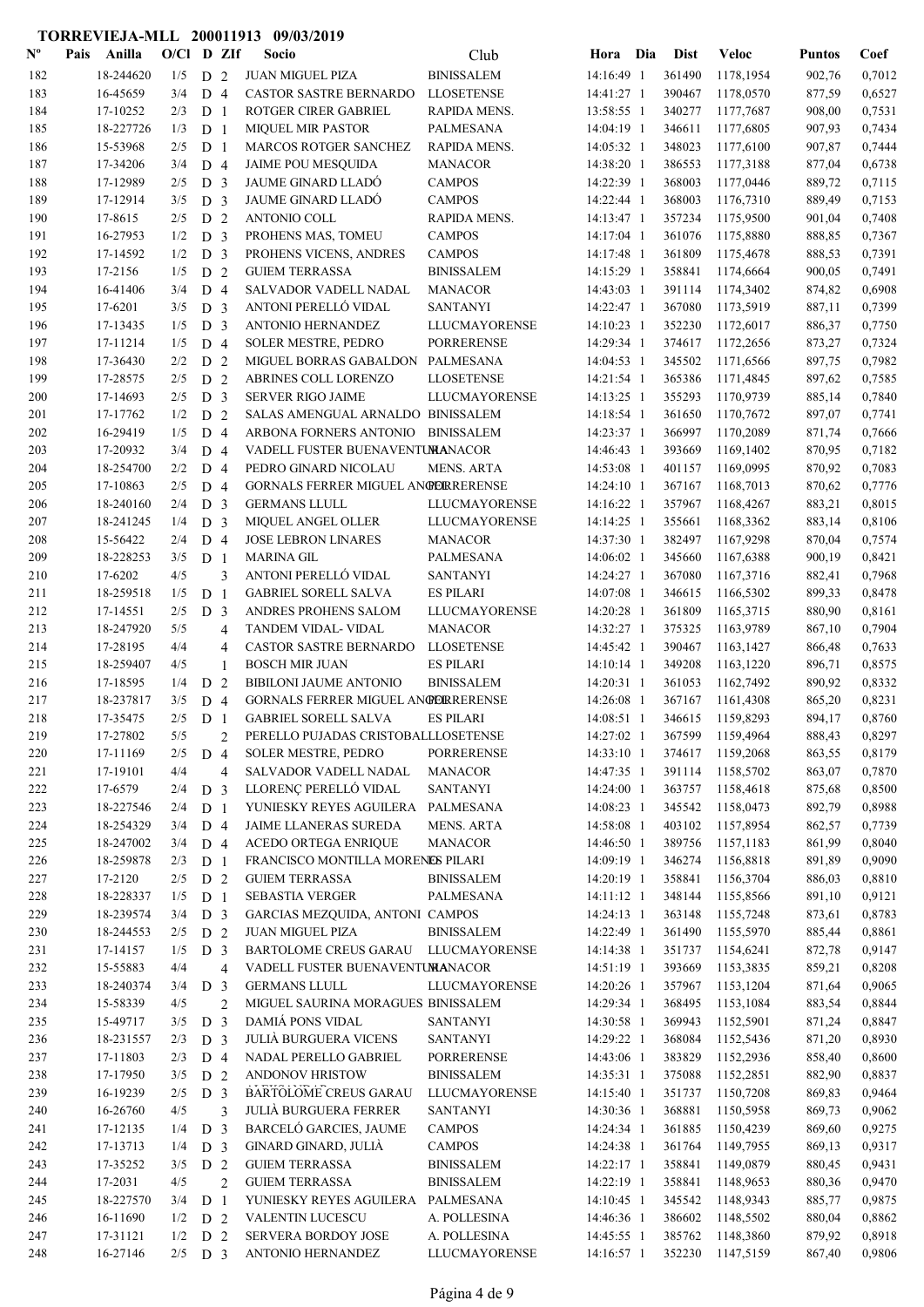| $\mathbf{N}^{\mathbf{o}}$ | Pais | Anilla    | $O/Cl$ D ZIf |                |                | Socio                                     | Club                 | Hora Dia   | <b>Dist</b> | Veloc     | <b>Puntos</b> | Coef   |
|---------------------------|------|-----------|--------------|----------------|----------------|-------------------------------------------|----------------------|------------|-------------|-----------|---------------|--------|
| 182                       |      | 18-244620 | 1/5          | D <sub>2</sub> |                | <b>JUAN MIGUEL PIZA</b>                   | <b>BINISSALEM</b>    | 14:16:49 1 | 361490      | 1178,1954 | 902,76        | 0,7012 |
| 183                       |      | 16-45659  | 3/4          | D <sub>4</sub> |                | CASTOR SASTRE BERNARDO                    | <b>LLOSETENSE</b>    | 14:41:27 1 | 390467      | 1178,0570 | 877,59        | 0,6527 |
| 184                       |      | 17-10252  | 2/3          | D <sub>1</sub> |                | ROTGER CIRER GABRIEL                      | RAPIDA MENS.         | 13:58:55 1 | 340277      | 1177,7687 | 908,00        | 0,7531 |
| 185                       |      | 18-227726 | 1/3          | D <sub>1</sub> |                | <b>MIQUEL MIR PASTOR</b>                  | <b>PALMESANA</b>     | 14:04:19 1 | 346611      | 1177,6805 | 907,93        | 0,7434 |
| 186                       |      | 15-53968  | 2/5          | D <sub>1</sub> |                | MARCOS ROTGER SANCHEZ                     | RAPIDA MENS.         | 14:05:32 1 | 348023      | 1177,6100 | 907,87        | 0,7444 |
| 187                       |      | 17-34206  | 3/4          | D <sub>4</sub> |                | <b>JAIME POU MESQUIDA</b>                 | <b>MANACOR</b>       | 14:38:20 1 | 386553      | 1177,3188 | 877,04        | 0,6738 |
| 188                       |      | 17-12989  | 2/5          | D <sub>3</sub> |                | JAUME GINARD LLADÓ                        | <b>CAMPOS</b>        | 14:22:39 1 | 368003      | 1177,0446 | 889,72        | 0,7115 |
| 189                       |      | 17-12914  | 3/5          | D <sub>3</sub> |                | <b>JAUME GINARD LLADÓ</b>                 | <b>CAMPOS</b>        | 14:22:44 1 | 368003      | 1176,7310 | 889,49        | 0,7153 |
| 190                       |      | 17-8615   | 2/5          | D <sub>2</sub> |                | ANTONIO COLL                              | RAPIDA MENS.         | 14:13:47 1 | 357234      | 1175,9500 | 901,04        | 0,7408 |
| 191                       |      | 16-27953  | 1/2          | D <sub>3</sub> |                | PROHENS MAS, TOMEU                        | <b>CAMPOS</b>        | 14:17:04 1 | 361076      | 1175,8880 | 888,85        | 0,7367 |
| 192                       |      | 17-14592  | 1/2          | D <sub>3</sub> |                | PROHENS VICENS, ANDRES                    | <b>CAMPOS</b>        | 14:17:48 1 | 361809      | 1175,4678 | 888,53        | 0,7391 |
| 193                       |      | 17-2156   | 1/5          | D <sub>2</sub> |                | <b>GUIEM TERRASSA</b>                     | <b>BINISSALEM</b>    | 14:15:29 1 | 358841      | 1174,6664 | 900,05        | 0,7491 |
| 194                       |      | 16-41406  | 3/4          | D <sub>4</sub> |                | SALVADOR VADELL NADAL                     | <b>MANACOR</b>       | 14:43:03 1 | 391114      | 1174,3402 | 874,82        | 0,6908 |
| 195                       |      | 17-6201   | 3/5          | D <sub>3</sub> |                | ANTONI PERELLÓ VIDAL                      | <b>SANTANYI</b>      | 14:22:47 1 | 367080      | 1173,5919 | 887,11        | 0,7399 |
| 196                       |      | 17-13435  | 1/5          | D              | $\overline{3}$ | ANTONIO HERNANDEZ                         | LLUCMAYORENSE        | 14:10:23 1 | 352230      | 1172,6017 | 886,37        | 0,7750 |
| 197                       |      | 17-11214  | 1/5          | D <sub>4</sub> |                | <b>SOLER MESTRE, PEDRO</b>                | <b>PORRERENSE</b>    | 14:29:34 1 | 374617      | 1172,2656 | 873,27        | 0,7324 |
| 198                       |      | 17-36430  | 2/2          | D <sub>2</sub> |                | MIGUEL BORRAS GABALDON PALMESANA          |                      | 14:04:53 1 | 345502      | 1171,6566 | 897,75        | 0,7982 |
| 199                       |      | 17-28575  | 2/5          | D              | 2              | ABRINES COLL LORENZO                      | <b>LLOSETENSE</b>    | 14:21:54 1 | 365386      | 1171,4845 | 897,62        | 0,7585 |
| 200                       |      | 17-14693  | 2/5          | D <sub>3</sub> |                | <b>SERVER RIGO JAIME</b>                  | LLUCMAYORENSE        | 14:13:25 1 | 355293      | 1170,9739 | 885,14        | 0,7840 |
| 201                       |      | 17-17762  | 1/2          | D <sub>2</sub> |                | SALAS AMENGUAL ARNALDO BINISSALEM         |                      | 14:18:54 1 | 361650      | 1170,7672 | 897,07        | 0,7741 |
| 202                       |      | 16-29419  | 1/5          | D <sub>4</sub> |                | ARBONA FORNERS ANTONIO                    | <b>BINISSALEM</b>    | 14:23:37 1 | 366997      | 1170,2089 | 871,74        | 0,7666 |
| 203                       |      | 17-20932  | 3/4          | D <sub>4</sub> |                | VADELL FUSTER BUENAVENTUMANACOR           |                      | 14:46:43 1 | 393669      | 1169,1402 | 870,95        | 0,7182 |
| 204                       |      | 18-254700 | 2/2          | D <sub>4</sub> |                | PEDRO GINARD NICOLAU                      | <b>MENS. ARTA</b>    | 14:53:08 1 | 401157      | 1169,0995 | 870,92        | 0,7083 |
| 205                       |      | 17-10863  | 2/5          | D <sub>4</sub> |                | <b>GORNALS FERRER MIGUEL ANGERRERENSE</b> |                      | 14:24:10 1 | 367167      | 1168,7013 | 870,62        | 0,7776 |
| 206                       |      | 18-240160 | 2/4          | D <sub>3</sub> |                | <b>GERMANS LLULL</b>                      | LLUCMAYORENSE        | 14:16:22 1 | 357967      | 1168,4267 | 883,21        | 0,8015 |
| 207                       |      | 18-241245 | 1/4          | D <sub>3</sub> |                | MIQUEL ANGEL OLLER                        | <b>LLUCMAYORENSE</b> | 14:14:25 1 | 355661      | 1168,3362 | 883,14        | 0,8106 |
| 208                       |      | 15-56422  | 2/4          | D <sub>4</sub> |                | <b>JOSE LEBRON LINARES</b>                | <b>MANACOR</b>       | 14:37:30 1 | 382497      | 1167,9298 | 870,04        | 0,7574 |
| 209                       |      | 18-228253 | 3/5          | D <sub>1</sub> |                | <b>MARINA GIL</b>                         | PALMESANA            | 14:06:02 1 | 345660      | 1167,6388 | 900,19        | 0,8421 |
| 210                       |      | 17-6202   | 4/5          |                | 3              | ANTONI PERELLÓ VIDAL                      | <b>SANTANYI</b>      | 14:24:27 1 | 367080      | 1167,3716 | 882,41        | 0,7968 |
| 211                       |      | 18-259518 | 1/5          | D <sub>1</sub> |                | <b>GABRIEL SORELL SALVA</b>               | <b>ES PILARI</b>     | 14:07:08 1 | 346615      | 1166,5302 | 899,33        | 0,8478 |
| 212                       |      | 17-14551  | 2/5          | D <sub>3</sub> |                | ANDRES PROHENS SALOM                      | LLUCMAYORENSE        | 14:20:28 1 | 361809      | 1165,3715 | 880,90        | 0,8161 |
| 213                       |      | 18-247920 | 5/5          |                | 4              | TANDEM VIDAL- VIDAL                       | <b>MANACOR</b>       | 14:32:27 1 | 375325      | 1163,9789 | 867,10        | 0,7904 |
| 214                       |      | 17-28195  | 4/4          |                | $\overline{4}$ | <b>CASTOR SASTRE BERNARDO</b>             | <b>LLOSETENSE</b>    | 14:45:42 1 | 390467      | 1163,1427 | 866,48        | 0,7633 |
| 215                       |      | 18-259407 | 4/5          |                | 1              | <b>BOSCH MIR JUAN</b>                     | <b>ES PILARI</b>     | 14:10:14 1 | 349208      | 1163,1220 | 896,71        | 0,8575 |
| 216                       |      | 17-18595  | 1/4          | D <sub>2</sub> |                | <b>BIBILONI JAUME ANTONIO</b>             | <b>BINISSALEM</b>    | 14:20:31 1 | 361053      | 1162,7492 | 890,92        | 0,8332 |
| 217                       |      | 18-237817 | 3/5          | D <sub>4</sub> |                | <b>GORNALS FERRER MIGUEL ANGERRERENSE</b> |                      | 14:26:08 1 | 367167      | 1161,4308 | 865,20        | 0,8231 |
| 218                       |      | 17-35475  | 2/5          | D <sub>1</sub> |                | <b>GABRIEL SORELL SALVA</b>               | <b>ES PILARI</b>     | 14:08:51 1 | 346615      | 1159,8293 | 894,17        | 0,8760 |
| 219                       |      | 17-27802  | 5/5          |                | $\mathfrak{D}$ | PERELLO PUJADAS CRISTOBALLLOSETENSE       |                      | 14:27:02 1 | 367599      | 1159,4964 | 888,43        | 0,8297 |
| 220                       |      | 17-11169  | 2/5          | D <sub>4</sub> |                | <b>SOLER MESTRE, PEDRO</b>                | <b>PORRERENSE</b>    | 14:33:10 1 | 374617      | 1159,2068 | 863,55        | 0,8179 |
| 221                       |      | 17-19101  | 4/4          |                | $\overline{4}$ | SALVADOR VADELL NADAL                     | <b>MANACOR</b>       | 14:47:35 1 | 391114      | 1158,5702 | 863,07        | 0,7870 |
| 222                       |      | 17-6579   | 2/4          | D <sub>3</sub> |                | LLORENÇ PERELLÓ VIDAL                     | <b>SANTANYI</b>      | 14:24:00 1 | 363757      | 1158,4618 | 875,68        | 0,8500 |
| 223                       |      | 18-227546 | 2/4          | D <sub>1</sub> |                | YUNIESKY REYES AGUILERA PALMESANA         |                      | 14:08:23 1 | 345542      | 1158,0473 | 892,79        | 0,8988 |
| 224                       |      | 18-254329 | 3/4          | D <sub>4</sub> |                | JAIME LLANERAS SUREDA                     | <b>MENS. ARTA</b>    | 14:58:08 1 | 403102      | 1157,8954 | 862,57        | 0,7739 |
| 225                       |      | 18-247002 | 3/4          | D <sub>4</sub> |                | ACEDO ORTEGA ENRIQUE                      | <b>MANACOR</b>       | 14:46:50 1 | 389756      | 1157,1183 | 861,99        | 0,8040 |
| 226                       |      | 18-259878 | 2/3          | D <sub>1</sub> |                | FRANCISCO MONTILLA MORENES PILARI         |                      | 14:09:19 1 | 346274      | 1156,8818 | 891,89        | 0,9090 |
| 227                       |      | 17-2120   | 2/5          | D <sub>2</sub> |                | <b>GUIEM TERRASSA</b>                     | <b>BINISSALEM</b>    | 14:20:19 1 | 358841      | 1156,3704 | 886,03        | 0,8810 |
| 228                       |      | 18-228337 | 1/5          | D <sub>1</sub> |                | <b>SEBASTIA VERGER</b>                    | PALMESANA            | 14:11:12 1 | 348144      | 1155,8566 | 891,10        | 0,9121 |
| 229                       |      | 18-239574 | 3/4          | D <sub>3</sub> |                | GARCIAS MEZQUIDA, ANTONI CAMPOS           |                      | 14:24:13 1 | 363148      | 1155,7248 | 873,61        | 0,8783 |
| 230                       |      | 18-244553 | 2/5          | D <sub>2</sub> |                | <b>JUAN MIGUEL PIZA</b>                   | <b>BINISSALEM</b>    | 14:22:49 1 | 361490      | 1155,5970 | 885,44        | 0,8861 |
| 231                       |      | 17-14157  | 1/5          | D <sub>3</sub> |                | BARTOLOME CREUS GARAU                     | <b>LLUCMAYORENSE</b> | 14:14:38 1 | 351737      | 1154,6241 | 872,78        | 0,9147 |
| 232                       |      | 15-55883  | 4/4          |                | 4              | VADELL FUSTER BUENAVENTUMANACOR           |                      | 14:51:19 1 | 393669      | 1153,3835 | 859,21        | 0,8208 |
| 233                       |      | 18-240374 | 3/4          | D <sub>3</sub> |                | <b>GERMANS LLULL</b>                      | LLUCMAYORENSE        | 14:20:26 1 | 357967      | 1153,1204 | 871,64        | 0,9065 |
| 234                       |      | 15-58339  | 4/5          |                | $\overline{2}$ | MIGUEL SAURINA MORAGUES BINISSALEM        |                      | 14:29:34 1 | 368495      | 1153,1084 | 883,54        | 0,8844 |
| 235                       |      | 15-49717  | 3/5          | D <sub>3</sub> |                | DAMIÁ PONS VIDAL                          | <b>SANTANYI</b>      | 14:30:58 1 | 369943      | 1152,5901 | 871,24        | 0,8847 |
| 236                       |      | 18-231557 | 2/3          | D <sub>3</sub> |                | <b>JULIÀ BURGUERA VICENS</b>              | <b>SANTANYI</b>      | 14:29:22 1 | 368084      | 1152,5436 | 871,20        | 0,8930 |
| 237                       |      | 17-11803  | 2/3          | D <sub>4</sub> |                | NADAL PERELLO GABRIEL                     | PORRERENSE           | 14:43:06 1 | 383829      | 1152,2936 | 858,40        | 0,8600 |
| 238                       |      | 17-17950  | 3/5          | D 2            |                | ANDONOV HRISTOW                           | <b>BINISSALEM</b>    | 14:35:31 1 | 375088      | 1152,2851 | 882,90        | 0,8837 |
| 239                       |      | 16-19239  | 2/5          | D <sub>3</sub> |                | BARTOLOME CREUS GARAU                     | <b>LLUCMAYORENSE</b> | 14:15:40 1 | 351737      | 1150,7208 | 869,83        | 0,9464 |
| 240                       |      | 16-26760  | 4/5          |                | 3              | <b>JULIÀ BURGUERA FERRER</b>              | <b>SANTANYI</b>      | 14:30:36 1 | 368881      | 1150,5958 | 869,73        | 0,9062 |
| 241                       |      | 17-12135  | 1/4          | D <sub>3</sub> |                | BARCELÓ GARCIES, JAUME                    | <b>CAMPOS</b>        | 14:24:34 1 | 361885      | 1150,4239 | 869,60        | 0,9275 |
| 242                       |      | 17-13713  | 1/4          | D <sub>3</sub> |                | GINARD GINARD, JULIÀ                      | <b>CAMPOS</b>        | 14:24:38 1 | 361764      | 1149,7955 | 869,13        | 0,9317 |
| 243                       |      | 17-35252  | 3/5          | D <sub>2</sub> |                | <b>GUIEM TERRASSA</b>                     | <b>BINISSALEM</b>    | 14:22:17 1 | 358841      | 1149,0879 | 880,45        | 0,9431 |
| 244                       |      | 17-2031   | 4/5          |                | $\overline{c}$ | <b>GUIEM TERRASSA</b>                     | <b>BINISSALEM</b>    | 14:22:19 1 | 358841      | 1148,9653 | 880,36        | 0,9470 |
| 245                       |      | 18-227570 | 3/4          | D <sub>1</sub> |                | YUNIESKY REYES AGUILERA PALMESANA         |                      | 14:10:45 1 | 345542      | 1148,9343 | 885,77        | 0,9875 |
| 246                       |      | 16-11690  | 1/2          | D <sub>2</sub> |                | VALENTIN LUCESCU                          | A. POLLESINA         | 14:46:36 1 | 386602      | 1148,5502 | 880,04        | 0,8862 |
| 247                       |      | 17-31121  | 1/2          | D 2            |                | SERVERA BORDOY JOSE                       | A. POLLESINA         | 14:45:55 1 | 385762      | 1148,3860 | 879,92        | 0,8918 |
| 248                       |      | 16-27146  | $2/5$ D 3    |                |                | ANTONIO HERNANDEZ                         | <b>LLUCMAYORENSE</b> | 14:16:57 1 | 352230      | 1147,5159 | 867,40        | 0,9806 |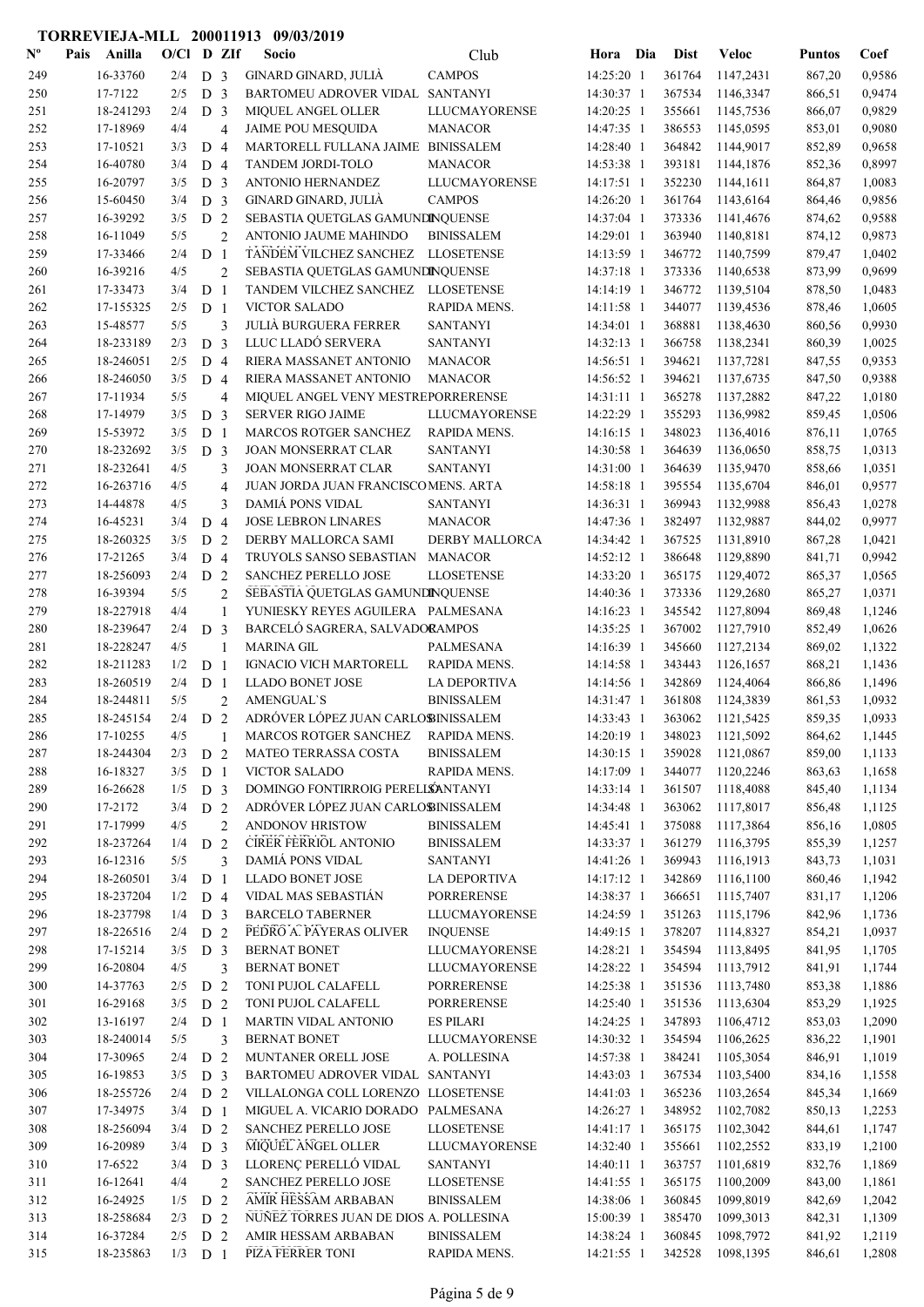| $\mathbf{N}^{\mathbf{o}}$ | Pais | Anilla                | $O/C1$ D ZIf |                                  |                | Socio                                           | Club                                | Hora Dia                 | <b>Dist</b>      | <b>Veloc</b>           | <b>Puntos</b>    | Coef             |
|---------------------------|------|-----------------------|--------------|----------------------------------|----------------|-------------------------------------------------|-------------------------------------|--------------------------|------------------|------------------------|------------------|------------------|
| 249                       |      | 16-33760              | 2/4          | D <sub>3</sub>                   |                | GINARD GINARD, JULIÀ                            | <b>CAMPOS</b>                       | 14:25:20 1               | 361764           | 1147,2431              | 867,20           | 0,9586           |
| 250                       |      | 17-7122               | 2/5          | D <sub>3</sub>                   |                | BARTOMEU ADROVER VIDAL SANTANYI                 |                                     | 14:30:37 1               | 367534           | 1146,3347              | 866,51           | 0,9474           |
| 251                       |      | 18-241293             | 2/4          | D <sub>3</sub>                   |                | <b>MIQUEL ANGEL OLLER</b>                       | LLUCMAYORENSE                       | 14:20:25 1               | 355661           | 1145,7536              | 866,07           | 0,9829           |
| 252                       |      | 17-18969              | 4/4          |                                  | $\overline{4}$ | <b>JAIME POU MESQUIDA</b>                       | <b>MANACOR</b>                      | 14:47:35 1               | 386553           | 1145,0595              | 853,01           | 0,9080           |
| 253                       |      | 17-10521              | 3/3          | D <sub>4</sub>                   |                | MARTORELL FULLANA JAIME BINISSALEM              |                                     | 14:28:40 1               | 364842           | 1144,9017              | 852,89           | 0,9658           |
| 254                       |      | 16-40780              | 3/4          | D <sub>4</sub>                   |                | TANDEM JORDI-TOLO                               | <b>MANACOR</b>                      | 14:53:38 1               | 393181           | 1144,1876              | 852,36           | 0,8997           |
| 255                       |      | 16-20797              | 3/5          | D <sub>3</sub>                   |                | ANTONIO HERNANDEZ                               | LLUCMAYORENSE                       | 14:17:51 1               | 352230           | 1144,1611              | 864,87           | 1,0083           |
| 256                       |      | 15-60450              | 3/4          | D <sub>3</sub>                   |                | GINARD GINARD, JULIÀ                            | <b>CAMPOS</b>                       | 14:26:20 1               | 361764           | 1143,6164              | 864,46           | 0,9856           |
| 257                       |      | 16-39292              | 3/5          | D <sub>2</sub>                   |                | SEBASTIA QUETGLAS GAMUNDINQUENSE                |                                     | 14:37:04 1               | 373336           | 1141,4676              | 874,62           | 0,9588           |
| 258                       |      | 16-11049              | 5/5          |                                  | $\overline{2}$ | ANTONIO JAUME MAHINDO                           | <b>BINISSALEM</b>                   | 14:29:01 1               | 363940           | 1140,8181              | 874,12           | 0,9873           |
| 259                       |      | 17-33466              | 2/4          | D <sub>1</sub>                   |                | TANDEM VILCHEZ SANCHEZ                          | <b>LLOSETENSE</b>                   | 14:13:59 1               | 346772           | 1140,7599              | 879,47           | 1,0402           |
| 260                       |      | 16-39216              | 4/5          |                                  | $\overline{2}$ | SEBASTIA QUETGLAS GAMUNDINQUENSE                |                                     | 14:37:18 1               | 373336           | 1140,6538              | 873,99           | 0,9699           |
| 261                       |      | 17-33473              | 3/4          | D <sub>1</sub>                   |                | TANDEM VILCHEZ SANCHEZ                          | <b>LLOSETENSE</b>                   | 14:14:19 1               | 346772           | 1139,5104              | 878,50           | 1,0483           |
| 262                       |      | 17-155325             | 2/5          | D <sub>1</sub>                   |                | <b>VICTOR SALADO</b>                            | RAPIDA MENS.                        | 14:11:58 1               | 344077           | 1139,4536              | 878,46           | 1,0605           |
| 263                       |      | 15-48577              | 5/5          |                                  | 3              | <b>JULIÀ BURGUERA FERRER</b>                    | <b>SANTANYI</b>                     | 14:34:01 1               | 368881           | 1138,4630              | 860,56           | 0,9930           |
| 264                       |      | 18-233189             | 2/3          | D <sub>3</sub>                   |                | LLUC LLADÓ SERVERA                              | <b>SANTANYI</b>                     | 14:32:13 1               | 366758           | 1138,2341              | 860,39           | 1,0025           |
| 265                       |      | 18-246051             | 2/5          | D <sub>4</sub>                   |                | RIERA MASSANET ANTONIO                          | <b>MANACOR</b>                      | 14:56:51 1               | 394621           | 1137,7281              | 847,55           | 0,9353           |
| 266                       |      | 18-246050             | 3/5          | D <sub>4</sub>                   |                | RIERA MASSANET ANTONIO                          | <b>MANACOR</b>                      | 14:56:52 1               | 394621           | 1137,6735              | 847,50           | 0,9388           |
| 267                       |      | 17-11934              | 5/5          |                                  | $\overline{4}$ | MIQUEL ANGEL VENY MESTREPORRERENSE              |                                     | 14:31:11 1               | 365278           | 1137,2882              | 847,22           | 1,0180           |
| 268                       |      | 17-14979              | 3/5          | D <sub>3</sub>                   |                | <b>SERVER RIGO JAIME</b>                        | LLUCMAYORENSE                       | 14:22:29 1               | 355293           | 1136,9982              | 859,45           | 1,0506           |
| 269                       |      | 15-53972              | 3/5          | D <sub>1</sub>                   |                | MARCOS ROTGER SANCHEZ                           | RAPIDA MENS.                        | 14:16:15 1               | 348023           | 1136,4016              | 876,11           | 1,0765           |
| 270                       |      | 18-232692             | 3/5          | D <sub>3</sub>                   |                | JOAN MONSERRAT CLAR                             | <b>SANTANYI</b>                     | 14:30:58 1               | 364639           | 1136,0650              | 858,75           | 1,0313           |
| 271                       |      | 18-232641             | 4/5          |                                  | 3              | <b>JOAN MONSERRAT CLAR</b>                      | <b>SANTANYI</b>                     | 14:31:00 1               | 364639           | 1135,9470              | 858,66           | 1,0351           |
| 272                       |      | 16-263716             | 4/5          |                                  | $\overline{4}$ | JUAN JORDA JUAN FRANCISCOMENS. ARTA             |                                     | 14:58:18 1               | 395554           | 1135,6704              | 846,01           | 0,9577           |
| 273                       |      | 14-44878              | 4/5          |                                  | 3              | <b>DAMIÁ PONS VIDAL</b>                         | <b>SANTANYI</b>                     | 14:36:31 1               | 369943           | 1132,9988              | 856,43           | 1,0278           |
| 274                       |      | 16-45231              | 3/4          | D 4                              |                | <b>JOSE LEBRON LINARES</b>                      | <b>MANACOR</b>                      | 14:47:36 1               | 382497           | 1132,9887              | 844,02           | 0,9977           |
| 275                       |      | 18-260325             | 3/5          | D <sub>2</sub>                   |                | DERBY MALLORCA SAMI                             | <b>DERBY MALLORCA</b>               | 14:34:42 1               | 367525           | 1131,8910              | 867,28           | 1,0421           |
| 276<br>277                |      | 17-21265<br>18-256093 | 3/4<br>2/4   | D <sub>4</sub><br>D <sub>2</sub> |                | TRUYOLS SANSO SEBASTIAN<br>SANCHEZ PERELLO JOSE | <b>MANACOR</b><br><b>LLOSETENSE</b> | 14:52:12 1<br>14:33:20 1 | 386648<br>365175 | 1129,8890<br>1129,4072 | 841,71           | 0,9942           |
|                           |      | 16-39394              | 5/5          |                                  | $\overline{2}$ | SEBASTIA QUETGLAS GAMUNDINQUENSE                |                                     | 14:40:36 1               | 373336           | 1129,2680              | 865,37<br>865,27 | 1,0565<br>1,0371 |
| 278<br>279                |      | 18-227918             | 4/4          |                                  | $\mathbf{1}$   | YUNIESKY REYES AGUILERA PALMESANA               |                                     | 14:16:23 1               | 345542           | 1127,8094              | 869,48           | 1,1246           |
| 280                       |      | 18-239647             | 2/4          | D <sub>3</sub>                   |                | BARCELÓ SAGRERA, SALVADORAMPOS                  |                                     | 14:35:25 1               | 367002           | 1127,7910              | 852,49           | 1,0626           |
| 281                       |      | 18-228247             | 4/5          |                                  | $\mathbf{1}$   | <b>MARINA GIL</b>                               | <b>PALMESANA</b>                    | 14:16:39 1               | 345660           | 1127,2134              | 869,02           | 1,1322           |
| 282                       |      | 18-211283             | 1/2          | D <sub>1</sub>                   |                | <b>IGNACIO VICH MARTORELL</b>                   | RAPIDA MENS.                        | 14:14:58 1               | 343443           | 1126,1657              | 868,21           | 1,1436           |
| 283                       |      | 18-260519             | 2/4          | D <sub>1</sub>                   |                | <b>LLADO BONET JOSE</b>                         | <b>LA DEPORTIVA</b>                 | 14:14:56 1               | 342869           | 1124,4064              | 866,86           | 1,1496           |
| 284                       |      | 18-244811             | 5/5          |                                  | $\overline{2}$ | <b>AMENGUAL'S</b>                               | <b>BINISSALEM</b>                   | 14:31:47 1               | 361808           | 1124,3839              | 861,53           | 1,0932           |
| 285                       |      | 18-245154             | 2/4          | D <sub>2</sub>                   |                | ADRÓVER LÓPEZ JUAN CARLOBINISSALEM              |                                     | 14:33:43 1               | 363062           | 1121,5425              | 859,35           | 1,0933           |
| 286                       |      | 17-10255              | 4/5          |                                  |                | MARCOS ROTGER SANCHEZ                           | <b>RAPIDA MENS.</b>                 | 14:20:19 1               | 348023           | 1121,5092              | 864,62           | 1,1445           |
| 287                       |      | 18-244304             | 2/3          | D <sub>2</sub>                   |                | MATEO TERRASSA COSTA                            | <b>BINISSALEM</b>                   | 14:30:15 1               | 359028           | 1121,0867              | 859,00           | 1,1133           |
| 288                       |      | 16-18327              | 3/5          | D <sub>1</sub>                   |                | <b>VICTOR SALADO</b>                            | RAPIDA MENS.                        | 14:17:09 1               | 344077           | 1120,2246              | 863,63           | 1,1658           |
| 289                       |      | 16-26628              | 1/5          | D <sub>3</sub>                   |                | DOMINGO FONTIRROIG PERELLSANTANYI               |                                     | 14:33:14 1               | 361507           | 1118,4088              | 845,40           | 1,1134           |
| 290                       |      | 17-2172               | 3/4          | D <sub>2</sub>                   |                | ADRÓVER LÓPEZ JUAN CARLOBINISSALEM              |                                     | 14:34:48 1               | 363062           | 1117,8017              | 856,48           | 1,1125           |
| 291                       |      | 17-17999              | 4/5          |                                  | $\overline{2}$ | <b>ANDONOV HRISTOW</b>                          | <b>BINISSALEM</b>                   | 14:45:41 1               | 375088           | 1117,3864              | 856,16           | 1,0805           |
| 292                       |      | 18-237264             | 1/4          | D <sub>2</sub>                   |                | <b>CIRER FERRIOL ANTONIO</b>                    | <b>BINISSALEM</b>                   | 14:33:37 1               | 361279           | 1116,3795              | 855,39           | 1,1257           |
| 293                       |      | 16-12316              | 5/5          |                                  | 3              | DAMIÁ PONS VIDAL                                | <b>SANTANYI</b>                     | 14:41:26 1               | 369943           | 1116,1913              | 843,73           | 1,1031           |
| 294                       |      | 18-260501             | 3/4          | D <sub>1</sub>                   |                | <b>LLADO BONET JOSE</b>                         | LA DEPORTIVA                        | 14:17:12 1               | 342869           | 1116,1100              | 860,46           | 1,1942           |
| 295                       |      | 18-237204             | 1/2          | D 4                              |                | VIDAL MAS SEBASTIÁN                             | <b>PORRERENSE</b>                   | 14:38:37 1               | 366651           | 1115,7407              | 831,17           | 1,1206           |
| 296                       |      | 18-237798             | 1/4          | D <sub>3</sub>                   |                | <b>BARCELO TABERNER</b>                         | <b>LLUCMAYORENSE</b>                | 14:24:59 1               | 351263           | 1115,1796              | 842,96           | 1,1736           |
| 297                       |      | 18-226516             | 2/4          | D <sub>2</sub>                   |                | PEDRO A. PAYERAS OLIVER                         | <b>INQUENSE</b>                     | 14:49:15 1               | 378207           | 1114,8327              | 854,21           | 1,0937           |
| 298                       |      | 17-15214              | 3/5          | D <sub>3</sub>                   |                | <b>BERNAT BONET</b>                             | LLUCMAYORENSE                       | 14:28:21 1               | 354594           | 1113,8495              | 841,95           | 1,1705           |
| 299                       |      | 16-20804              | 4/5          |                                  | 3              | <b>BERNAT BONET</b>                             | LLUCMAYORENSE                       | 14:28:22 1               | 354594           | 1113,7912              | 841,91           | 1,1744           |
| 300                       |      | 14-37763              | 2/5          | D 2                              |                | TONI PUJOL CALAFELL                             | PORRERENSE                          | 14:25:38 1               | 351536           | 1113,7480              | 853,38           | 1,1886           |
| 301                       |      | 16-29168              | 3/5          | D <sub>2</sub>                   |                | TONI PUJOL CALAFELL                             | <b>PORRERENSE</b>                   | 14:25:40 1               | 351536           | 1113,6304              | 853,29           | 1,1925           |
| 302                       |      | 13-16197              | 2/4          | D <sub>1</sub>                   |                | <b>MARTIN VIDAL ANTONIO</b>                     | <b>ES PILARI</b>                    | 14:24:25 1               | 347893           | 1106,4712              | 853,03           | 1,2090           |
| 303                       |      | 18-240014             | 5/5          |                                  | 3              | <b>BERNAT BONET</b>                             | <b>LLUCMAYORENSE</b>                | 14:30:32 1               | 354594           | 1106,2625              | 836,22           | 1,1901           |
| 304                       |      | 17-30965              | 2/4          | D <sub>2</sub>                   |                | MUNTANER ORELL JOSE                             | A. POLLESINA                        | 14:57:38 1               | 384241           | 1105,3054              | 846,91           | 1,1019           |
| 305                       |      | 16-19853              | 3/5          | D <sub>3</sub>                   |                | BARTOMEU ADROVER VIDAL SANTANYI                 |                                     | 14:43:03 1               | 367534           | 1103,5400              | 834,16           | 1,1558           |
| 306                       |      | 18-255726             | 2/4          | D <sub>2</sub>                   |                | VILLALONGA COLL LORENZO LLOSETENSE              |                                     | 14:41:03 1               | 365236           | 1103,2654              | 845,34           | 1,1669           |
| 307                       |      | 17-34975              | 3/4          | D <sub>1</sub>                   |                | MIGUEL A. VICARIO DORADO PALMESANA              |                                     | 14:26:27 1               | 348952           | 1102,7082              | 850,13           | 1,2253           |
| 308                       |      | 18-256094             | 3/4          | D <sub>2</sub>                   |                | SANCHEZ PERELLO JOSE                            | <b>LLOSETENSE</b>                   | 14:41:17 1               | 365175           | 1102,3042              | 844,61           | 1,1747           |
| 309                       |      | 16-20989              | 3/4          | D <sub>3</sub>                   |                | MIQUEL ANGEL OLLER                              | <b>LLUCMAYORENSE</b>                | 14:32:40 1               | 355661           | 1102,2552              | 833,19           | 1,2100           |
| 310                       |      | 17-6522               | 3/4          | D <sub>3</sub>                   |                | LLORENÇ PERELLÓ VIDAL                           | <b>SANTANYI</b>                     | 14:40:11 1               | 363757           | 1101,6819              | 832,76           | 1,1869           |
| 311                       |      | 16-12641              | 4/4          |                                  | $\overline{2}$ | SANCHEZ PERELLO JOSE                            | <b>LLOSETENSE</b>                   | 14:41:55 1               | 365175           | 1100,2009              | 843,00           | 1,1861           |
| 312                       |      | 16-24925              | 1/5          | D <sub>2</sub>                   |                | AMIR HESSAM ARBABAN                             | <b>BINISSALEM</b>                   | 14:38:06 1               | 360845           | 1099,8019              | 842,69           | 1,2042           |
| 313                       |      | 18-258684             | 2/3          | D <sub>2</sub>                   |                | NUÑEZ TORRES JUAN DE DIOS A. POLLESINA          |                                     | 15:00:39 1               | 385470           | 1099,3013              | 842,31           | 1,1309           |
| 314                       |      | 16-37284              | 2/5          | D <sub>2</sub>                   |                | AMIR HESSAM ARBABAN                             | <b>BINISSALEM</b>                   | 14:38:24 1               | 360845           | 1098,7972              | 841,92           | 1,2119           |
| 315                       |      | 18-235863             | $1/3$ D $1$  |                                  |                | PIZA FERRER TONI                                | RAPIDA MENS.                        | 14:21:55 1               | 342528           | 1098,1395              | 846,61           | 1,2808           |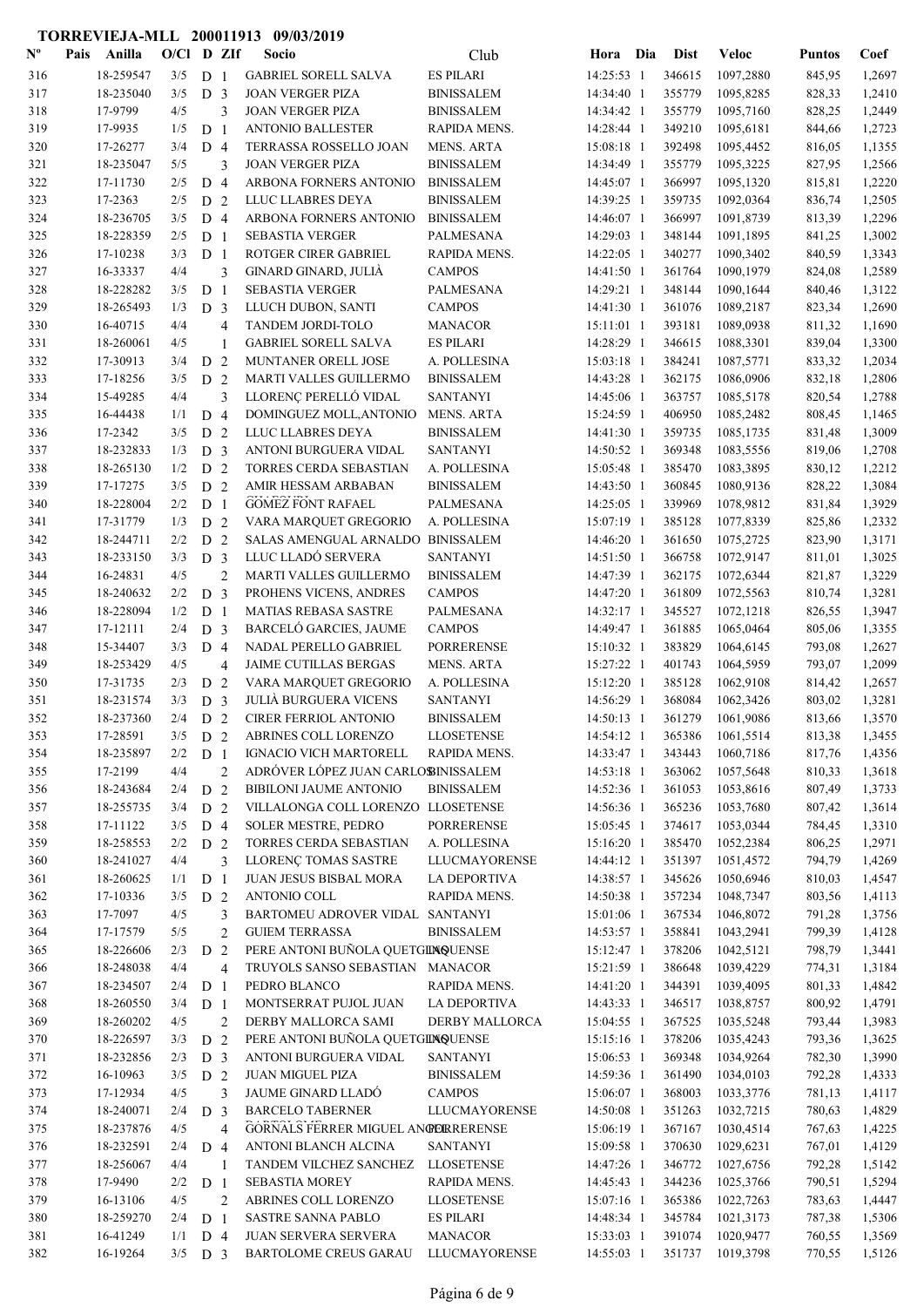| ${\bf N^o}$ | Pais | Anilla                | $O/C1$ D ZIf |                                  |                | Socio                                                 | Club                       | Hora Dia                 | <b>Dist</b>      | <b>Veloc</b>           | <b>Puntos</b>    | Coef             |
|-------------|------|-----------------------|--------------|----------------------------------|----------------|-------------------------------------------------------|----------------------------|--------------------------|------------------|------------------------|------------------|------------------|
| 316         |      | 18-259547             | 3/5          | D <sub>1</sub>                   |                | <b>GABRIEL SORELL SALVA</b>                           | <b>ES PILARI</b>           | 14:25:53 1               | 346615           | 1097,2880              | 845,95           | 1,2697           |
| 317         |      | 18-235040             | 3/5          | D <sub>3</sub>                   |                | <b>JOAN VERGER PIZA</b>                               | <b>BINISSALEM</b>          | 14:34:40 1               | 355779           | 1095,8285              | 828,33           | 1,2410           |
| 318         |      | 17-9799               | 4/5          |                                  | 3              | <b>JOAN VERGER PIZA</b>                               | <b>BINISSALEM</b>          | 14:34:42 1               | 355779           | 1095,7160              | 828,25           | 1,2449           |
| 319         |      | 17-9935               | 1/5          | D <sub>1</sub>                   |                | <b>ANTONIO BALLESTER</b>                              | RAPIDA MENS.               | 14:28:44 1               | 349210           | 1095,6181              | 844,66           | 1,2723           |
| 320         |      | 17-26277              | 3/4          | D <sub>4</sub>                   |                | TERRASSA ROSSELLO JOAN                                | <b>MENS. ARTA</b>          | 15:08:18 1               | 392498           | 1095,4452              | 816,05           | 1,1355           |
| 321         |      | 18-235047             | 5/5          |                                  | 3              | <b>JOAN VERGER PIZA</b>                               | <b>BINISSALEM</b>          | 14:34:49 1               | 355779           | 1095,3225              | 827,95           | 1,2566           |
| 322         |      | 17-11730              | 2/5          | D <sub>4</sub>                   |                | ARBONA FORNERS ANTONIO                                | <b>BINISSALEM</b>          | 14:45:07 1               | 366997           | 1095,1320              | 815,81           | 1,2220           |
| 323         |      | 17-2363               | 2/5          | D <sub>2</sub>                   |                | LLUC LLABRES DEYA                                     | <b>BINISSALEM</b>          | 14:39:25 1               | 359735           | 1092,0364              | 836,74           | 1,2505           |
| 324         |      | 18-236705             | 3/5          | D <sub>4</sub>                   |                | ARBONA FORNERS ANTONIO                                | <b>BINISSALEM</b>          | 14:46:07 1               | 366997           | 1091,8739              | 813,39           | 1,2296           |
| 325         |      | 18-228359             | 2/5          | D <sub>1</sub>                   |                | <b>SEBASTIA VERGER</b>                                | PALMESANA                  | 14:29:03 1               | 348144           | 1091,1895              | 841,25           | 1,3002           |
| 326         |      | 17-10238              | 3/3          | D <sub>1</sub>                   |                | ROTGER CIRER GABRIEL                                  | RAPIDA MENS.               | 14:22:05 1               | 340277           | 1090,3402              | 840,59           | 1,3343           |
| 327         |      | 16-33337              | 4/4          |                                  | 3              | GINARD GINARD, JULIÀ                                  | <b>CAMPOS</b>              | 14:41:50 1               | 361764           | 1090,1979              | 824,08           | 1,2589           |
| 328         |      | 18-228282             | 3/5          | D <sub>1</sub>                   |                | <b>SEBASTIA VERGER</b>                                | PALMESANA                  | 14:29:21 1               | 348144           | 1090,1644              | 840,46           | 1,3122           |
| 329         |      | 18-265493             | 1/3          | D <sub>3</sub>                   |                | LLUCH DUBON, SANTI                                    | <b>CAMPOS</b>              | 14:41:30 1               | 361076           | 1089,2187              | 823,34           | 1,2690           |
| 330         |      | 16-40715              | 4/4          |                                  | $\overline{4}$ | TANDEM JORDI-TOLO                                     | <b>MANACOR</b>             | 15:11:01 1               | 393181           | 1089,0938              | 811,32           | 1,1690           |
| 331         |      | 18-260061             | 4/5          |                                  | 1              | <b>GABRIEL SORELL SALVA</b>                           | <b>ES PILARI</b>           | 14:28:29 1               | 346615           | 1088,3301              | 839,04           | 1,3300           |
| 332         |      | 17-30913              | 3/4          | D <sub>2</sub>                   |                | MUNTANER ORELL JOSE                                   | A. POLLESINA               | 15:03:18 1               | 384241           | 1087,5771              | 833,32           | 1,2034           |
| 333         |      | 17-18256              | 3/5          | D                                | 2              | MARTI VALLES GUILLERMO                                | <b>BINISSALEM</b>          | 14:43:28 1               | 362175           | 1086,0906              | 832,18           | 1,2806           |
| 334         |      | 15-49285              | 4/4          |                                  | 3              | LLORENÇ PERELLÓ VIDAL                                 | <b>SANTANYI</b>            | 14:45:06 1               | 363757           | 1085,5178              | 820,54           | 1,2788           |
| 335         |      | 16-44438              | 1/1          | D <sub>4</sub>                   |                | DOMINGUEZ MOLL, ANTONIO                               | <b>MENS. ARTA</b>          | 15:24:59 1               | 406950           | 1085,2482              | 808,45           | 1,1465           |
| 336         |      | 17-2342               | 3/5          | D <sub>2</sub>                   |                | LLUC LLABRES DEYA                                     | <b>BINISSALEM</b>          | 14:41:30 1               | 359735           | 1085,1735              | 831,48           | 1,3009           |
| 337         |      | 18-232833             | 1/3          | D <sub>3</sub>                   |                | ANTONI BURGUERA VIDAL                                 | <b>SANTANYI</b>            | 14:50:52 1               | 369348           | 1083,5556              | 819,06           | 1,2708           |
| 338         |      | 18-265130             | 1/2          | D <sub>2</sub>                   |                | TORRES CERDA SEBASTIAN                                | A. POLLESINA               | 15:05:48 1               | 385470           | 1083,3895              | 830,12           | 1,2212           |
| 339         |      | 17-17275              | 3/5          | D <sub>2</sub>                   |                | AMIR HESSAM ARBABAN                                   | <b>BINISSALEM</b>          | 14:43:50 1               | 360845           | 1080,9136              | 828,22           | 1,3084           |
| 340         |      | 18-228004             | 2/2          | D <sub>1</sub>                   |                | <b>GOMEZ FONT RAFAEL</b>                              | PALMESANA                  | 14:25:05 1               | 339969           | 1078,9812              | 831,84           | 1,3929           |
| 341         |      | 17-31779              | 1/3          | D <sub>2</sub>                   |                | VARA MARQUET GREGORIO                                 | A. POLLESINA               | 15:07:19 1               | 385128           | 1077,8339              | 825,86           | 1,2332           |
| 342         |      | 18-244711             | 2/2          | D <sub>2</sub>                   |                | SALAS AMENGUAL ARNALDO BINISSALEM                     |                            | 14:46:20 1               | 361650           | 1075,2725              | 823,90           | 1,3171           |
| 343         |      | 18-233150             | 3/3          | D <sub>3</sub>                   |                | LLUC LLADÓ SERVERA                                    | <b>SANTANYI</b>            | 14:51:50 1               | 366758           | 1072,9147              | 811,01           | 1,3025           |
| 344         |      | 16-24831              | 4/5          |                                  | $\overline{2}$ | MARTI VALLES GUILLERMO                                | <b>BINISSALEM</b>          | 14:47:39 1               | 362175           | 1072,6344              | 821,87           | 1,3229           |
| 345         |      | 18-240632             | 2/2          | D <sub>3</sub>                   |                | PROHENS VICENS, ANDRES                                | <b>CAMPOS</b>              | 14:47:20 1               | 361809           | 1072,5563              | 810,74           | 1,3281           |
| 346<br>347  |      | 18-228094<br>17-12111 | 1/2<br>2/4   | D <sub>1</sub><br>D <sub>3</sub> |                | <b>MATIAS REBASA SASTRE</b><br>BARCELÓ GARCIES, JAUME | PALMESANA<br><b>CAMPOS</b> | 14:32:17 1               | 345527<br>361885 | 1072,1218<br>1065,0464 | 826,55           | 1,3947<br>1,3355 |
| 348         |      | 15-34407              | 3/3          | D <sub>4</sub>                   |                | NADAL PERELLO GABRIEL                                 | <b>PORRERENSE</b>          | 14:49:47 1<br>15:10:32 1 | 383829           | 1064,6145              | 805,06           | 1,2627           |
| 349         |      | 18-253429             | 4/5          |                                  | 4              | JAIME CUTILLAS BERGAS                                 | MENS. ARTA                 | 15:27:22 1               | 401743           | 1064,5959              | 793,08<br>793,07 | 1,2099           |
| 350         |      | 17-31735              | 2/3          | D <sub>2</sub>                   |                | VARA MARQUET GREGORIO                                 | A. POLLESINA               | 15:12:20 1               | 385128           | 1062,9108              | 814,42           | 1,2657           |
| 351         |      | 18-231574             | 3/3          | D <sub>3</sub>                   |                | <b>JULIÀ BURGUERA VICENS</b>                          | <b>SANTANYI</b>            | 14:56:29 1               | 368084           | 1062,3426              | 803,02           | 1,3281           |
| 352         |      | 18-237360             | 2/4          | D <sub>2</sub>                   |                | CIRER FERRIOL ANTONIO                                 | <b>BINISSALEM</b>          | 14:50:13 1               | 361279           | 1061,9086              | 813,66           | 1,3570           |
| 353         |      | 17-28591              | 3/5          | D <sub>2</sub>                   |                | ABRINES COLL LORENZO                                  | <b>LLOSETENSE</b>          | 14:54:12 1               | 365386           | 1061,5514              | 813,38           | 1,3455           |
| 354         |      | 18-235897             | 2/2          | D <sub>1</sub>                   |                | <b>IGNACIO VICH MARTORELL</b>                         | RAPIDA MENS.               | 14:33:47 1               | 343443           | 1060,7186              | 817,76           | 1,4356           |
| 355         |      | 17-2199               | 4/4          |                                  | $\overline{2}$ | ADRÓVER LÓPEZ JUAN CARLOBINISSALEM                    |                            | 14:53:18 1               | 363062           | 1057,5648              | 810,33           | 1,3618           |
| 356         |      | 18-243684             | 2/4          | D 2                              |                | <b>BIBILONI JAUME ANTONIO</b>                         | <b>BINISSALEM</b>          | 14:52:36 1               | 361053           | 1053,8616              | 807,49           | 1,3733           |
| 357         |      | 18-255735             | 3/4          | D 2                              |                | VILLALONGA COLL LORENZO LLOSETENSE                    |                            | 14:56:36 1               | 365236           | 1053,7680              | 807,42           | 1,3614           |
| 358         |      | 17-11122              | 3/5          | D <sub>4</sub>                   |                | <b>SOLER MESTRE, PEDRO</b>                            | <b>PORRERENSE</b>          | 15:05:45 1               | 374617           | 1053,0344              | 784,45           | 1,3310           |
| 359         |      | 18-258553             | 2/2          | D <sub>2</sub>                   |                | TORRES CERDA SEBASTIAN                                | A. POLLESINA               | 15:16:20 1               | 385470           | 1052,2384              | 806,25           | 1,2971           |
| 360         |      | 18-241027             | 4/4          |                                  | 3              | LLORENÇ TOMAS SASTRE                                  | <b>LLUCMAYORENSE</b>       | 14:44:12 1               | 351397           | 1051,4572              | 794,79           | 1,4269           |
| 361         |      | 18-260625             | 1/1          | D <sub>1</sub>                   |                | <b>JUAN JESUS BISBAL MORA</b>                         | LA DEPORTIVA               | 14:38:57 1               | 345626           | 1050,6946              | 810,03           | 1,4547           |
| 362         |      | 17-10336              | 3/5          | D 2                              |                | ANTONIO COLL                                          | RAPIDA MENS.               | 14:50:38 1               | 357234           | 1048,7347              | 803,56           | 1,4113           |
| 363         |      | 17-7097               | 4/5          |                                  | 3              | BARTOMEU ADROVER VIDAL SANTANYI                       |                            | 15:01:06 1               | 367534           | 1046,8072              | 791,28           | 1,3756           |
| 364         |      | 17-17579              | 5/5          |                                  | $\overline{c}$ | <b>GUIEM TERRASSA</b>                                 | <b>BINISSALEM</b>          | 14:53:57 1               | 358841           | 1043,2941              | 799,39           | 1,4128           |
| 365         |      | 18-226606             | 2/3          | D <sub>2</sub>                   |                | PERE ANTONI BUÑOLA QUETGINQUENSE                      |                            | 15:12:47 1               | 378206           | 1042,5121              | 798,79           | 1,3441           |
| 366         |      | 18-248038             | 4/4          |                                  | 4              | TRUYOLS SANSO SEBASTIAN MANACOR                       |                            | 15:21:59 1               | 386648           | 1039,4229              | 774,31           | 1,3184           |
| 367         |      | 18-234507             | 2/4          | D <sub>1</sub>                   |                | PEDRO BLANCO                                          | RAPIDA MENS.               | 14:41:20 1               | 344391           | 1039,4095              | 801,33           | 1,4842           |
| 368         |      | 18-260550             | 3/4          | D <sub>1</sub>                   |                | MONTSERRAT PUJOL JUAN                                 | LA DEPORTIVA               | 14:43:33 1               | 346517           | 1038,8757              | 800,92           | 1,4791           |
| 369         |      | 18-260202             | 4/5          |                                  | $\overline{2}$ | DERBY MALLORCA SAMI                                   | <b>DERBY MALLORCA</b>      | 15:04:55 1               | 367525           | 1035,5248              | 793,44           | 1,3983           |
| 370         |      | 18-226597             | 3/3          | D <sub>2</sub>                   |                | PERE ANTONI BUÑOLA QUETGINQUENSE                      |                            | 15:15:16 1               | 378206           | 1035,4243              | 793,36           | 1,3625           |
| 371         |      | 18-232856             | 2/3          | D <sub>3</sub>                   |                | ANTONI BURGUERA VIDAL                                 | <b>SANTANYI</b>            | 15:06:53 1               | 369348           | 1034,9264              | 782,30           | 1,3990           |
| 372         |      | 16-10963              | 3/5          | D <sub>2</sub>                   |                | JUAN MIGUEL PIZA                                      | <b>BINISSALEM</b>          | 14:59:36 1               | 361490           | 1034,0103              | 792,28           | 1,4333           |
| 373         |      | 17-12934              | 4/5          |                                  | 3              | JAUME GINARD LLADÓ                                    | <b>CAMPOS</b>              | 15:06:07 1               | 368003           | 1033,3776              | 781,13           | 1,4117           |
| 374         |      | 18-240071             | 2/4          | D <sub>3</sub>                   |                | <b>BARCELO TABERNER</b>                               | <b>LLUCMAYORENSE</b>       | 14:50:08 1               | 351263           | 1032,7215              | 780,63           | 1,4829           |
| 375         |      | 18-237876             | 4/5          |                                  | 4              | GORNALS FERRER MIGUEL ANGERRERENSE                    |                            | 15:06:19 1               | 367167           | 1030,4514              | 767,63           | 1,4225           |
| 376         |      | 18-232591             | 2/4          | D <sub>4</sub>                   |                | ANTONI BLANCH ALCINA                                  | <b>SANTANYI</b>            | 15:09:58 1               | 370630           | 1029,6231              | 767,01           | 1,4129           |
| 377         |      | 18-256067             | 4/4          |                                  | $\mathbf{1}$   | TANDEM VILCHEZ SANCHEZ                                | <b>LLOSETENSE</b>          | 14:47:26 1               | 346772           | 1027,6756              | 792,28           | 1,5142           |
| 378         |      | 17-9490               | 2/2          | D <sub>1</sub>                   |                | <b>SEBASTIA MOREY</b>                                 | RAPIDA MENS.               | 14:45:43 1               | 344236           | 1025,3766              | 790,51           | 1,5294           |
| 379         |      | 16-13106              | 4/5          |                                  | $\overline{2}$ | ABRINES COLL LORENZO                                  | <b>LLOSETENSE</b>          | 15:07:16 1               | 365386           | 1022,7263              | 783,63           | 1,4447           |
| 380         |      | 18-259270             | 2/4          | D <sub>1</sub>                   |                | SASTRE SANNA PABLO                                    | <b>ES PILARI</b>           | 14:48:34 1               | 345784           | 1021,3173              | 787,38           | 1,5306           |
| 381         |      | 16-41249              | 1/1          | D <sub>4</sub>                   |                | <b>JUAN SERVERA SERVERA</b>                           | <b>MANACOR</b>             | 15:33:03 1               | 391074           | 1020,9477              | 760,55           | 1,3569           |
| 382         |      | 16-19264              | $3/5$ D 3    |                                  |                | <b>BARTOLOME CREUS GARAU</b>                          | <b>LLUCMAYORENSE</b>       | 14:55:03 1               | 351737           | 1019,3798              | 770,55           | 1,5126           |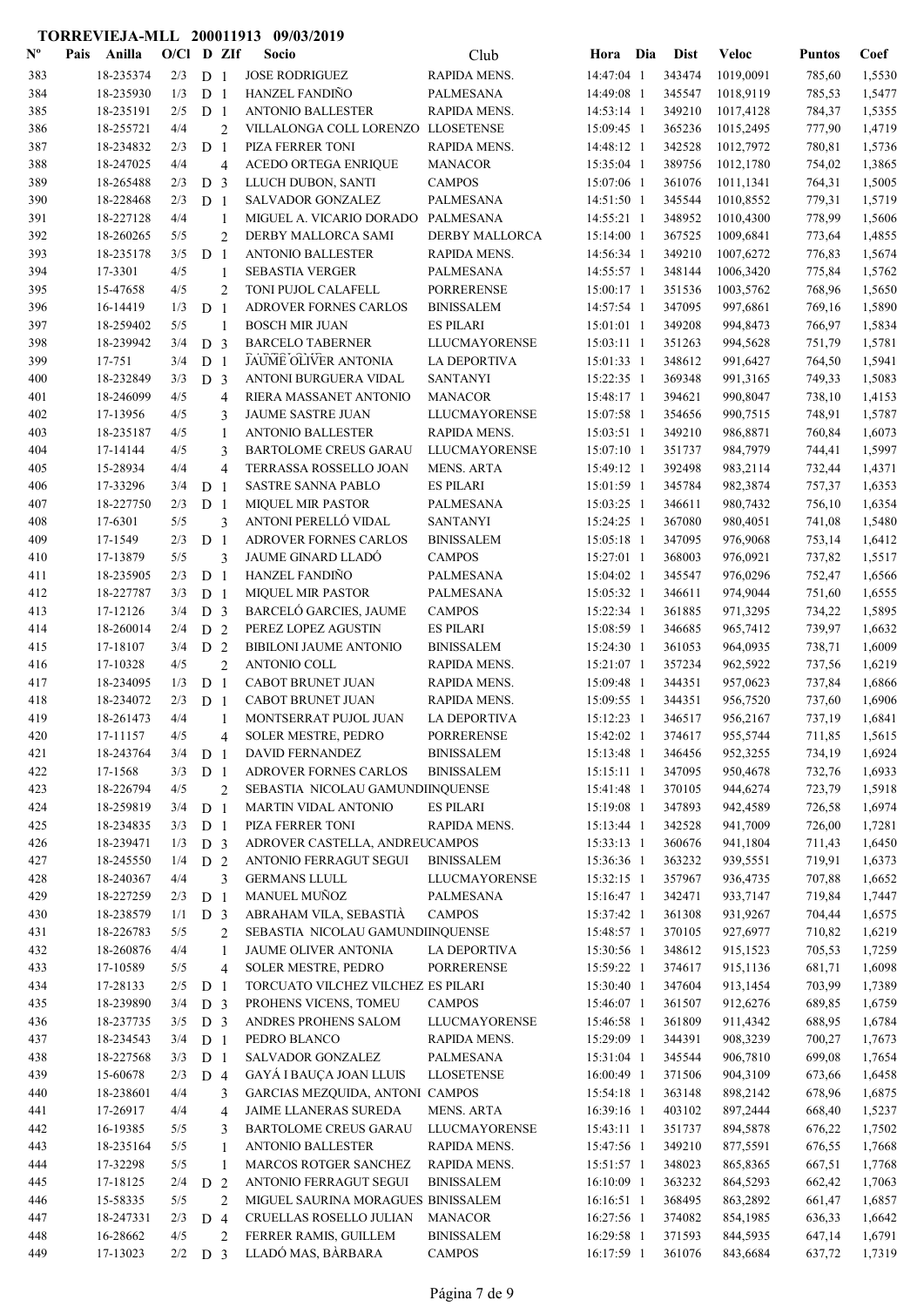| $\mathbf{N}^{\mathbf{o}}$ | Pais | Anilla               | $O/CI$ D ZIf |                |                | Socio                                           | Club                 | Hora Dia                 | <b>Dist</b>      | <b>Veloc</b>         | <b>Puntos</b>    | Coef             |
|---------------------------|------|----------------------|--------------|----------------|----------------|-------------------------------------------------|----------------------|--------------------------|------------------|----------------------|------------------|------------------|
| 383                       |      | 18-235374            | 2/3          | D <sub>1</sub> |                | <b>JOSE RODRIGUEZ</b>                           | RAPIDA MENS.         | 14:47:04 1               | 343474           | 1019,0091            | 785,60           | 1,5530           |
| 384                       |      | 18-235930            | 1/3          | D <sub>1</sub> |                | HANZEL FANDIÑO                                  | <b>PALMESANA</b>     | 14:49:08 1               | 345547           | 1018,9119            | 785,53           | 1,5477           |
| 385                       |      | 18-235191            | 2/5          | D <sub>1</sub> |                | <b>ANTONIO BALLESTER</b>                        | RAPIDA MENS.         | 14:53:14 1               | 349210           | 1017,4128            | 784,37           | 1,5355           |
| 386                       |      | 18-255721            | 4/4          |                | $\overline{2}$ | VILLALONGA COLL LORENZO LLOSETENSE              |                      | 15:09:45 1               | 365236           | 1015,2495            | 777,90           | 1,4719           |
| 387                       |      | 18-234832            | 2/3          | D <sub>1</sub> |                | PIZA FERRER TONI                                | RAPIDA MENS.         | 14:48:12 1               | 342528           | 1012,7972            | 780,81           | 1,5736           |
| 388                       |      | 18-247025            | 4/4          |                | $\overline{4}$ | <b>ACEDO ORTEGA ENRIQUE</b>                     | <b>MANACOR</b>       | 15:35:04 1               | 389756           | 1012,1780            | 754,02           | 1,3865           |
| 389                       |      | 18-265488            | 2/3          | D <sub>3</sub> |                | LLUCH DUBON, SANTI                              | <b>CAMPOS</b>        | 15:07:06 1               | 361076           | 1011,1341            | 764,31           | 1,5005           |
| 390                       |      | 18-228468            | 2/3          | D <sub>1</sub> |                | SALVADOR GONZALEZ                               | PALMESANA            | 14:51:50 1               | 345544           | 1010,8552            | 779,31           | 1,5719           |
| 391                       |      | 18-227128            | 4/4          |                | 1              | MIGUEL A. VICARIO DORADO                        | PALMESANA            | 14:55:21 1               | 348952           | 1010,4300            | 778,99           | 1,5606           |
| 392                       |      | 18-260265            | 5/5          |                | $\overline{2}$ | DERBY MALLORCA SAMI                             | DERBY MALLORCA       | 15:14:00 1               | 367525           | 1009,6841            | 773,64           | 1,4855           |
| 393                       |      | 18-235178            | 3/5          | D <sub>1</sub> |                | <b>ANTONIO BALLESTER</b>                        | RAPIDA MENS.         | 14:56:34 1               | 349210           | 1007,6272            | 776,83           | 1,5674           |
| 394                       |      | 17-3301              | 4/5          |                | 1              | <b>SEBASTIA VERGER</b>                          | <b>PALMESANA</b>     | 14:55:57 1               | 348144           | 1006,3420            | 775,84           | 1,5762           |
| 395                       |      | 15-47658             | 4/5          |                | $\overline{c}$ | TONI PUJOL CALAFELL                             | <b>PORRERENSE</b>    | 15:00:17 1               | 351536           | 1003,5762            | 768,96           | 1,5650           |
| 396                       |      | 16-14419             | 1/3          | D <sub>1</sub> |                | ADROVER FORNES CARLOS                           | <b>BINISSALEM</b>    | 14:57:54 1               | 347095           | 997,6861             | 769,16           | 1,5890           |
| 397                       |      | 18-259402            | 5/5          |                | $\mathbf{1}$   | <b>BOSCH MIR JUAN</b>                           | <b>ES PILARI</b>     | 15:01:01 1               | 349208           | 994,8473             | 766,97           | 1,5834           |
| 398                       |      | 18-239942            | 3/4          | D <sub>3</sub> |                | <b>BARCELO TABERNER</b>                         | LLUCMAYORENSE        | 15:03:11 1               | 351263           | 994,5628             | 751,79           | 1,5781           |
| 399                       |      | 17-751               | 3/4          | D <sub>1</sub> |                | <b>JAUME OLIVER ANTONIA</b>                     | <b>LA DEPORTIVA</b>  | 15:01:33 1               | 348612           | 991,6427             | 764,50           | 1,5941           |
| 400                       |      | 18-232849            | 3/3          | D <sub>3</sub> |                | ANTONI BURGUERA VIDAL                           | <b>SANTANYI</b>      | 15:22:35 1               | 369348           | 991,3165             | 749,33           | 1,5083           |
| 401                       |      | 18-246099            | 4/5          |                | $\overline{4}$ | RIERA MASSANET ANTONIO                          | <b>MANACOR</b>       | 15:48:17 1               | 394621           | 990,8047             | 738,10           | 1,4153           |
| 402                       |      | 17-13956             | 4/5          |                | 3              | <b>JAUME SASTRE JUAN</b>                        | <b>LLUCMAYORENSE</b> | 15:07:58 1               | 354656           | 990,7515             | 748,91           | 1,5787           |
| 403                       |      | 18-235187            | 4/5          |                | 1              | <b>ANTONIO BALLESTER</b>                        | RAPIDA MENS.         | 15:03:51 1               | 349210           | 986,8871             | 760,84           | 1,6073           |
| 404                       |      | 17-14144             | 4/5          |                | 3              | <b>BARTOLOME CREUS GARAU</b>                    | LLUCMAYORENSE        | 15:07:10 1               | 351737           | 984,7979             | 744,41           | 1,5997           |
| 405                       |      | 15-28934             | 4/4          |                | $\overline{4}$ | TERRASSA ROSSELLO JOAN                          | <b>MENS. ARTA</b>    | 15:49:12 1               | 392498           | 983,2114             | 732,44           | 1,4371           |
| 406                       |      | 17-33296             | 3/4          | D <sub>1</sub> |                | <b>SASTRE SANNA PABLO</b>                       | <b>ES PILARI</b>     | 15:01:59 1               | 345784           | 982,3874             | 757,37           | 1,6353           |
| 407                       |      | 18-227750            | 2/3          | D <sub>1</sub> |                | <b>MIQUEL MIR PASTOR</b>                        | PALMESANA            | 15:03:25 1               | 346611           | 980,7432             | 756,10           | 1,6354           |
| 408                       |      | 17-6301              | 5/5          |                | 3              | ANTONI PERELLÓ VIDAL                            | <b>SANTANYI</b>      | 15:24:25 1               | 367080           | 980,4051             | 741,08           | 1,5480           |
| 409                       |      | 17-1549              | 2/3          | D <sub>1</sub> |                | ADROVER FORNES CARLOS                           | <b>BINISSALEM</b>    | 15:05:18 1               | 347095           | 976,9068             | 753,14           | 1,6412           |
| 410                       |      | 17-13879             | 5/5          |                | 3              | <b>JAUME GINARD LLADÓ</b>                       | <b>CAMPOS</b>        | 15:27:01 1               | 368003           | 976,0921             | 737,82           | 1,5517           |
| 411                       |      | 18-235905            | 2/3          | D <sub>1</sub> |                | HANZEL FANDIÑO                                  | PALMESANA            | 15:04:02 1               | 345547           | 976,0296             | 752,47           | 1,6566           |
| 412                       |      | 18-227787            | 3/3          | D <sub>1</sub> |                | <b>MIQUEL MIR PASTOR</b>                        | PALMESANA            | 15:05:32 1               | 346611           | 974,9044             | 751,60           | 1,6555           |
| 413                       |      | 17-12126             | 3/4          | D <sub>3</sub> |                | BARCELÓ GARCIES, JAUME                          | <b>CAMPOS</b>        | 15:22:34 1               | 361885           | 971,3295             | 734,22           | 1,5895           |
| 414                       |      | 18-260014            | 2/4          | D <sub>2</sub> |                | PEREZ LOPEZ AGUSTIN                             | <b>ES PILARI</b>     | 15:08:59 1               | 346685           | 965,7412             | 739,97           | 1,6632           |
| 415                       |      | 17-18107             | 3/4          | D <sub>2</sub> |                | <b>BIBILONI JAUME ANTONIO</b>                   | <b>BINISSALEM</b>    | 15:24:30 1               | 361053           | 964,0935             | 738,71           | 1,6009           |
| 416                       |      | 17-10328             | 4/5          |                | $\overline{2}$ | ANTONIO COLL                                    | RAPIDA MENS.         | 15:21:07 1               | 357234           | 962,5922             | 737,56           | 1,6219           |
| 417                       |      | 18-234095            | 1/3          | D <sub>1</sub> |                | CABOT BRUNET JUAN                               | RAPIDA MENS.         | 15:09:48 1               | 344351           | 957,0623             | 737,84           | 1,6866           |
| 418                       |      | 18-234072            | 2/3          | D <sub>1</sub> |                | <b>CABOT BRUNET JUAN</b>                        | RAPIDA MENS.         | 15:09:55 1               | 344351           | 956,7520             | 737,60           | 1,6906           |
| 419                       |      | 18-261473            | 4/4          |                | 1              | MONTSERRAT PUJOL JUAN                           | LA DEPORTIVA         | 15:12:23 1               | 346517           | 956,2167             | 737,19           | 1,6841           |
| 420                       |      | 17-11157             | 4/5          |                | $\overline{4}$ | SOLER MESTRE, PEDRO                             | <b>PORRERENSE</b>    | 15:42:02 1               | 374617           | 955,5744             | 711,85           | 1,5615           |
| 421                       |      | 18-243764            | 3/4          | D <sub>1</sub> |                | <b>DAVID FERNANDEZ</b>                          | <b>BINISSALEM</b>    | 15:13:48 1               | 346456           | 952,3255             | 734,19           | 1,6924           |
| 422                       |      | 17-1568              | 3/3          | D <sub>1</sub> |                | ADROVER FORNES CARLOS                           | <b>BINISSALEM</b>    | $15:15:11$ 1             | 347095           | 950,4678             | 732,76           | 1,6933           |
| 423                       |      | 18-226794            | 4/5          |                | $\overline{2}$ | SEBASTIA NICOLAU GAMUNDIINQUENSE                |                      | 15:41:48 1               | 370105           | 944,6274             | 723,79           | 1,5918           |
| 424                       |      | 18-259819            | 3/4          | D <sub>1</sub> |                | MARTIN VIDAL ANTONIO                            | <b>ES PILARI</b>     | 15:19:08 1               | 347893           | 942,4589             | 726,58           | 1,6974           |
| 425                       |      | 18-234835            | 3/3          | D <sub>1</sub> |                | PIZA FERRER TONI                                | RAPIDA MENS.         | 15:13:44 1               | 342528           | 941,7009             | 726,00           | 1,7281           |
| 426                       |      | 18-239471            | 1/3          | D <sub>3</sub> |                | ADROVER CASTELLA, ANDREUCAMPOS                  |                      | 15:33:13 1               | 360676           | 941,1804             | 711,43           | 1,6450           |
| 427                       |      | 18-245550            | 1/4          | D <sub>2</sub> |                | ANTONIO FERRAGUT SEGUI                          | <b>BINISSALEM</b>    | 15:36:36 1               | 363232           | 939,5551             | 719,91           | 1,6373           |
| 428                       |      | 18-240367            | 4/4          |                | 3              | <b>GERMANS LLULL</b>                            | <b>LLUCMAYORENSE</b> | 15:32:15 1               | 357967           | 936,4735             | 707,88           | 1,6652           |
| 429                       |      | 18-227259            | 2/3          | D <sub>1</sub> |                | MANUEL MUÑOZ                                    | PALMESANA            | 15:16:47 1               | 342471           | 933,7147             | 719,84           | 1,7447           |
| 430                       |      | 18-238579            | 1/1          | D <sub>3</sub> |                | ABRAHAM VILA, SEBASTIÀ                          | <b>CAMPOS</b>        | 15:37:42 1               | 361308           | 931,9267             | 704,44           | 1,6575           |
| 431                       |      | 18-226783            | 5/5          |                | 2              | SEBASTIA NICOLAU GAMUNDIINQUENSE                |                      | 15:48:57 1               | 370105           | 927,6977             | 710,82           | 1,6219           |
| 432                       |      | 18-260876            | 4/4          |                | 1              | JAUME OLIVER ANTONIA                            | LA DEPORTIVA         | 15:30:56 1               | 348612           | 915,1523             | 705,53           | 1,7259           |
| 433                       |      | 17-10589             | 5/5          |                | $\overline{4}$ | SOLER MESTRE, PEDRO                             | <b>PORRERENSE</b>    | 15:59:22 1               | 374617           | 915,1136             | 681,71           | 1,6098           |
| 434                       |      | 17-28133             | 2/5          | D <sub>1</sub> |                | TORCUATO VILCHEZ VILCHEZ ES PILARI              |                      | 15:30:40 1               | 347604           | 913,1454             | 703,99           | 1,7389           |
| 435                       |      | 18-239890            | 3/4          | D <sub>3</sub> |                | PROHENS VICENS, TOMEU                           | <b>CAMPOS</b>        | 15:46:07 1               | 361507           | 912,6276             | 689,85           | 1,6759           |
| 436                       |      | 18-237735            | 3/5          | D <sub>3</sub> |                | ANDRES PROHENS SALOM                            | LLUCMAYORENSE        | 15:46:58 1               | 361809           | 911,4342             | 688,95           | 1,6784           |
| 437                       |      | 18-234543            | 3/4          | D <sub>1</sub> |                | PEDRO BLANCO                                    | RAPIDA MENS.         | 15:29:09 1               | 344391           | 908,3239             | 700,27           | 1,7673           |
| 438                       |      | 18-227568            | 3/3          | D <sub>1</sub> |                | <b>SALVADOR GONZALEZ</b>                        | PALMESANA            | 15:31:04 1               | 345544           | 906,7810             | 699,08           | 1,7654           |
| 439                       |      | 15-60678             | 2/3          | D 4            |                | GAYÁ I BAUÇA JOAN LLUIS                         | <b>LLOSETENSE</b>    | 16:00:49 1               | 371506           | 904,3109             | 673,66           | 1,6458           |
| 440                       |      | 18-238601            | 4/4          |                | 3              | GARCIAS MEZQUIDA, ANTONI CAMPOS                 |                      | 15:54:18 1               | 363148           | 898,2142             | 678,96           | 1,6875           |
| 441                       |      | 17-26917             | 4/4          |                | $\overline{4}$ | JAIME LLANERAS SUREDA                           | MENS. ARTA           | 16:39:16 1               | 403102           | 897,2444             | 668,40           | 1,5237           |
| 442                       |      | 16-19385             | 5/5          |                | 3              | <b>BARTOLOME CREUS GARAU</b>                    | <b>LLUCMAYORENSE</b> | 15:43:11 1               | 351737           | 894,5878             | 676,22           | 1,7502           |
| 443                       |      | 18-235164            | 5/5          |                | 1              | <b>ANTONIO BALLESTER</b>                        | RAPIDA MENS.         | 15:47:56 1               | 349210           | 877,5591             | 676,55           | 1,7668           |
| 444<br>445                |      | 17-32298             | 5/5<br>2/4   |                | 1              | MARCOS ROTGER SANCHEZ<br>ANTONIO FERRAGUT SEGUI | RAPIDA MENS.         | 15:51:57 1<br>16:10:09 1 | 348023           | 865,8365             | 667,51           | 1,7768           |
|                           |      | 17-18125<br>15-58335 | 5/5          | D <sub>2</sub> | 2              | MIGUEL SAURINA MORAGUES BINISSALEM              | <b>BINISSALEM</b>    |                          | 363232<br>368495 | 864,5293<br>863,2892 | 662,42           | 1,7063           |
| 446<br>447                |      | 18-247331            | 2/3          | D <sub>4</sub> |                | CRUELLAS ROSELLO JULIAN                         | <b>MANACOR</b>       | 16:16:51 1<br>16:27:56 1 | 374082           | 854,1985             | 661,47<br>636,33 | 1,6857<br>1,6642 |
|                           |      |                      |              |                |                |                                                 |                      |                          |                  |                      |                  |                  |
| 448                       |      | 16-28662             | 4/5          |                | $\overline{2}$ | FERRER RAMIS, GUILLEM                           | <b>BINISSALEM</b>    | 16:29:58 1               | 371593           | 844,5935             | 647,14           | 1,6791           |
| 449                       |      | 17-13023             | $2/2$ D 3    |                |                | LLADÓ MAS, BÀRBARA                              | <b>CAMPOS</b>        | 16:17:59 1               | 361076           | 843,6684             | 637,72           | 1,7319           |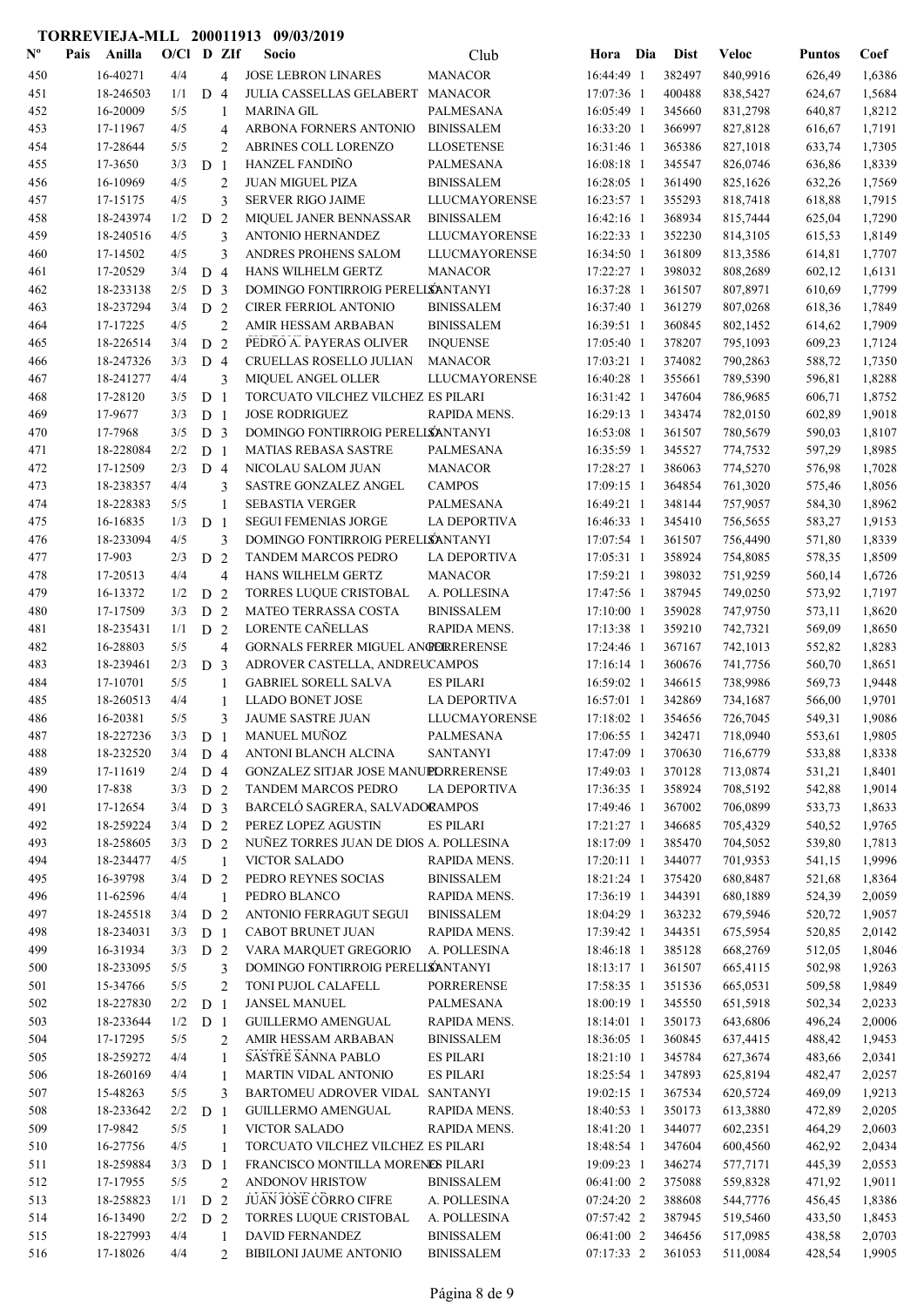| $\mathbf{N}^{\mathbf{o}}$ | Pais | Anilla    | O/Cl D ZIf |                |                                | Socio                                  | Club                 | Hora Dia     | <b>Dist</b> | Veloc    | <b>Puntos</b> | Coef   |
|---------------------------|------|-----------|------------|----------------|--------------------------------|----------------------------------------|----------------------|--------------|-------------|----------|---------------|--------|
| 450                       |      | 16-40271  | 4/4        |                | $\overline{4}$                 | <b>JOSE LEBRON LINARES</b>             | <b>MANACOR</b>       | 16:44:49 1   | 382497      | 840,9916 | 626,49        | 1,6386 |
| 451                       |      | 18-246503 | 1/1        | D <sub>4</sub> |                                | JULIA CASSELLAS GELABERT               | <b>MANACOR</b>       | 17:07:36 1   | 400488      | 838,5427 | 624,67        | 1,5684 |
| 452                       |      | 16-20009  | 5/5        |                | 1                              | <b>MARINA GIL</b>                      | PALMESANA            | 16:05:49 1   | 345660      | 831,2798 | 640,87        | 1,8212 |
| 453                       |      | 17-11967  | 4/5        |                | 4                              | ARBONA FORNERS ANTONIO                 | <b>BINISSALEM</b>    | 16:33:20 1   | 366997      | 827,8128 | 616,67        | 1,7191 |
| 454                       |      | 17-28644  | 5/5        |                | $\overline{2}$                 | ABRINES COLL LORENZO                   | <b>LLOSETENSE</b>    | 16:31:46 1   | 365386      | 827,1018 | 633,74        | 1,7305 |
| 455                       |      | 17-3650   | 3/3        | D <sub>1</sub> |                                | <b>HANZEL FANDINO</b>                  | PALMESANA            | 16:08:18 1   | 345547      | 826,0746 | 636,86        | 1,8339 |
| 456                       |      | 16-10969  | 4/5        |                | $\overline{2}$                 | <b>JUAN MIGUEL PIZA</b>                | <b>BINISSALEM</b>    | 16:28:05 1   | 361490      | 825,1626 | 632,26        | 1,7569 |
| 457                       |      | 17-15175  | 4/5        |                | 3                              | <b>SERVER RIGO JAIME</b>               | <b>LLUCMAYORENSE</b> | 16:23:57 1   | 355293      | 818,7418 | 618,88        | 1,7915 |
| 458                       |      | 18-243974 | 1/2        | D              | 2                              | MIQUEL JANER BENNASSAR                 | <b>BINISSALEM</b>    | 16:42:16 1   | 368934      | 815,7444 | 625,04        | 1,7290 |
| 459                       |      | 18-240516 | 4/5        |                | 3                              | ANTONIO HERNANDEZ                      | <b>LLUCMAYORENSE</b> | 16:22:33 1   | 352230      | 814,3105 | 615,53        | 1,8149 |
| 460                       |      | 17-14502  | 4/5        |                | 3                              | ANDRES PROHENS SALOM                   | <b>LLUCMAYORENSE</b> | 16:34:50 1   | 361809      | 813,3586 | 614,81        | 1,7707 |
| 461                       |      | 17-20529  | 3/4        | D <sub>4</sub> |                                | HANS WILHELM GERTZ                     | <b>MANACOR</b>       | 17:22:27 1   | 398032      | 808,2689 | 602,12        | 1,6131 |
| 462                       |      | 18-233138 | 2/5        | D <sub>3</sub> |                                | DOMINGO FONTIRROIG PERELLSANTANYI      |                      | 16:37:28 1   | 361507      | 807,8971 | 610,69        | 1,7799 |
| 463                       |      | 18-237294 | 3/4        | D <sub>2</sub> |                                | <b>CIRER FERRIOL ANTONIO</b>           | <b>BINISSALEM</b>    | 16:37:40 1   | 361279      | 807,0268 | 618,36        | 1,7849 |
| 464                       |      | 17-17225  | 4/5        |                | $\overline{2}$                 | AMIR HESSAM ARBABAN                    | <b>BINISSALEM</b>    | 16:39:51 1   | 360845      | 802,1452 | 614,62        | 1,7909 |
| 465                       |      | 18-226514 | 3/4        | D <sub>2</sub> |                                | PEDRO A. PAYERAS OLIVER                | <b>INQUENSE</b>      | 17:05:40 1   | 378207      | 795,1093 | 609,23        | 1,7124 |
| 466                       |      | 18-247326 | 3/3        | D <sub>4</sub> |                                | CRUELLAS ROSELLO JULIAN                | <b>MANACOR</b>       | 17:03:21 1   | 374082      | 790,2863 | 588,72        | 1,7350 |
| 467                       |      | 18-241277 | 4/4        |                | 3                              | <b>MIQUEL ANGEL OLLER</b>              | <b>LLUCMAYORENSE</b> | 16:40:28 1   | 355661      | 789,5390 | 596,81        | 1,8288 |
| 468                       |      | 17-28120  | 3/5        | D <sub>1</sub> |                                | TORCUATO VILCHEZ VILCHEZ ES PILARI     |                      | 16:31:42 1   | 347604      | 786,9685 | 606,71        | 1,8752 |
| 469                       |      | 17-9677   | 3/3        | D <sub>1</sub> |                                | <b>JOSE RODRIGUEZ</b>                  | RAPIDA MENS.         | 16:29:13 1   | 343474      | 782,0150 | 602,89        | 1,9018 |
| 470                       |      | 17-7968   | 3/5        | D <sub>3</sub> |                                | DOMINGO FONTIRROIG PERELLSANTANYI      |                      | 16:53:08 1   | 361507      | 780,5679 | 590,03        | 1,8107 |
| 471                       |      | 18-228084 | 2/2        | D <sub>1</sub> |                                | <b>MATIAS REBASA SASTRE</b>            | PALMESANA            | 16:35:59 1   | 345527      | 774,7532 | 597,29        | 1,8985 |
| 472                       |      | 17-12509  | 2/3        | D <sub>4</sub> |                                | NICOLAU SALOM JUAN                     | <b>MANACOR</b>       | 17:28:27 1   | 386063      | 774,5270 | 576,98        | 1,7028 |
| 473                       |      | 18-238357 | 4/4        |                | 3                              | SASTRE GONZALEZ ANGEL                  | <b>CAMPOS</b>        | 17:09:15 1   | 364854      | 761,3020 | 575,46        | 1,8056 |
| 474                       |      | 18-228383 | 5/5        |                | 1                              | <b>SEBASTIA VERGER</b>                 | PALMESANA            | 16:49:21 1   | 348144      | 757,9057 | 584,30        | 1,8962 |
| 475                       |      | 16-16835  | 1/3        | D <sub>1</sub> |                                | <b>SEGUI FEMENIAS JORGE</b>            | <b>LA DEPORTIVA</b>  | 16:46:33 1   | 345410      | 756,5655 | 583,27        | 1,9153 |
| 476                       |      | 18-233094 | 4/5        |                | 3                              | DOMINGO FONTIRROIG PERELLSANTANYI      |                      | 17:07:54 1   | 361507      | 756,4490 | 571,80        | 1,8339 |
| 477                       |      | 17-903    | 2/3        | D <sub>2</sub> |                                | TANDEM MARCOS PEDRO                    | LA DEPORTIVA         | 17:05:31 1   | 358924      | 754,8085 | 578,35        | 1,8509 |
| 478                       |      | 17-20513  | 4/4        |                | $\overline{4}$                 | HANS WILHELM GERTZ                     | <b>MANACOR</b>       | 17:59:21 1   | 398032      | 751,9259 | 560,14        | 1,6726 |
| 479                       |      | 16-13372  | 1/2        | D              | 2                              | TORRES LUQUE CRISTOBAL                 | A. POLLESINA         | 17:47:56 1   | 387945      | 749,0250 | 573,92        | 1,7197 |
| 480                       |      | 17-17509  | 3/3        | D <sub>2</sub> |                                | MATEO TERRASSA COSTA                   | <b>BINISSALEM</b>    | $17:10:00$ 1 | 359028      | 747,9750 | 573,11        | 1,8620 |
| 481                       |      | 18-235431 | 1/1        | D <sub>2</sub> |                                | LORENTE CAÑELLAS                       | RAPIDA MENS.         | 17:13:38 1   | 359210      | 742,7321 | 569,09        | 1,8650 |
| 482                       |      | 16-28803  | 5/5        |                | $\overline{4}$                 | GORNALS FERRER MIGUEL ANGERRERENSE     |                      | 17:24:46 1   | 367167      | 742,1013 | 552,82        | 1,8283 |
| 483                       |      | 18-239461 | 2/3        | D <sub>3</sub> |                                | ADROVER CASTELLA, ANDREUCAMPOS         |                      | 17:16:14 1   | 360676      | 741,7756 | 560,70        | 1,8651 |
| 484                       |      | 17-10701  | 5/5        |                | 1                              | <b>GABRIEL SORELL SALVA</b>            | <b>ES PILARI</b>     | 16:59:02 1   | 346615      | 738,9986 | 569,73        | 1,9448 |
| 485                       |      | 18-260513 | 4/4        |                | 1                              | <b>LLADO BONET JOSE</b>                | <b>LA DEPORTIVA</b>  | 16:57:01 1   | 342869      | 734,1687 | 566,00        | 1,9701 |
| 486                       |      | 16-20381  | 5/5        |                | 3                              | <b>JAUME SASTRE JUAN</b>               | <b>LLUCMAYORENSE</b> | 17:18:02 1   | 354656      | 726,7045 | 549,31        | 1,9086 |
| 487                       |      | 18-227236 | 3/3        | D <sub>1</sub> |                                | MANUEL MUÑOZ                           | PALMESANA            | 17:06:55 1   | 342471      | 718,0940 | 553,61        | 1,9805 |
| 488                       |      | 18-232520 | 3/4        | D <sub>4</sub> |                                | ANTONI BLANCH ALCINA                   | <b>SANTANYI</b>      | 17:47:09 1   | 370630      | 716,6779 | 533,88        | 1,8338 |
| 489                       |      | 17-11619  | 2/4        | D <sub>4</sub> |                                | GONZALEZ SITJAR JOSE MANUPDRRERENSE    |                      | 17:49:03 1   | 370128      | 713,0874 | 531,21        | 1,8401 |
| 490                       |      | 17-838    | 3/3        | D <sub>2</sub> |                                | TANDEM MARCOS PEDRO                    | <b>LA DEPORTIVA</b>  | 17:36:35 1   | 358924      | 708,5192 | 542,88        | 1,9014 |
| 491                       |      | 17-12654  | 3/4        | D <sub>3</sub> |                                | BARCELÓ SAGRERA, SALVADORAMPOS         |                      | 17:49:46 1   | 367002      | 706,0899 | 533,73        | 1,8633 |
| 492                       |      | 18-259224 | 3/4        | D <sub>2</sub> |                                | PEREZ LOPEZ AGUSTIN                    | <b>ES PILARI</b>     | 17:21:27 1   | 346685      | 705,4329 | 540,52        | 1,9765 |
| 493                       |      | 18-258605 | 3/3        | D <sub>2</sub> |                                | NUÑEZ TORRES JUAN DE DIOS A. POLLESINA |                      | 18:17:09 1   | 385470      | 704,5052 | 539,80        | 1,7813 |
| 494                       |      | 18-234477 | 4/5        |                | 1                              | <b>VICTOR SALADO</b>                   | RAPIDA MENS.         | 17:20:11 1   | 344077      | 701,9353 | 541,15        | 1,9996 |
| 495                       |      | 16-39798  | 3/4        | D <sub>2</sub> |                                | PEDRO REYNES SOCIAS                    | <b>BINISSALEM</b>    | 18:21:24 1   | 375420      | 680,8487 | 521,68        | 1,8364 |
| 496                       |      | 11-62596  | 4/4        |                | 1                              | PEDRO BLANCO                           | RAPIDA MENS.         | 17:36:19 1   | 344391      | 680,1889 | 524,39        | 2,0059 |
| 497                       |      | 18-245518 | 3/4        | D <sub>2</sub> |                                | ANTONIO FERRAGUT SEGUI                 | <b>BINISSALEM</b>    | 18:04:29 1   | 363232      | 679,5946 | 520,72        | 1,9057 |
| 498                       |      | 18-234031 | 3/3        | D <sub>1</sub> |                                | CABOT BRUNET JUAN                      | RAPIDA MENS.         | 17:39:42 1   | 344351      | 675,5954 | 520,85        | 2,0142 |
| 499                       |      | 16-31934  | 3/3        | D <sub>2</sub> |                                | VARA MARQUET GREGORIO                  | A. POLLESINA         | 18:46:18 1   | 385128      | 668,2769 | 512,05        | 1,8046 |
| 500                       |      | 18-233095 | 5/5        |                | 3                              | DOMINGO FONTIRROIG PERELLSANTANYI      |                      | 18:13:17 1   | 361507      | 665,4115 | 502,98        | 1,9263 |
| 501                       |      | 15-34766  | 5/5        |                | $\mathfrak{2}$                 | TONI PUJOL CALAFELL                    | PORRERENSE           | 17:58:35 1   | 351536      | 665,0531 | 509,58        | 1,9849 |
| 502                       |      | 18-227830 | 2/2        | D <sub>1</sub> |                                | <b>JANSEL MANUEL</b>                   | PALMESANA            | 18:00:19 1   | 345550      | 651,5918 | 502,34        | 2,0233 |
| 503                       |      | 18-233644 | 1/2        | D <sub>1</sub> |                                | <b>GUILLERMO AMENGUAL</b>              | RAPIDA MENS.         | 18:14:01 1   | 350173      | 643,6806 | 496,24        | 2,0006 |
| 504                       |      | 17-17295  | 5/5        |                |                                | AMIR HESSAM ARBABAN                    | <b>BINISSALEM</b>    | 18:36:05 1   | 360845      | 637,4415 | 488,42        | 1,9453 |
|                           |      |           | 4/4        |                | $\overline{2}$<br>$\mathbf{1}$ | SASTRE SANNA PABLO                     |                      |              |             |          |               |        |
| 505                       |      | 18-259272 |            |                |                                |                                        | <b>ES PILARI</b>     | 18:21:10 1   | 345784      | 627,3674 | 483,66        | 2,0341 |
| 506                       |      | 18-260169 | 4/4        |                | 1                              | MARTIN VIDAL ANTONIO                   | <b>ES PILARI</b>     | 18:25:54 1   | 347893      | 625,8194 | 482,47        | 2,0257 |
| 507                       |      | 15-48263  | 5/5        |                | 3                              | BARTOMEU ADROVER VIDAL SANTANYI        |                      | 19:02:15 1   | 367534      | 620,5724 | 469,09        | 1,9213 |
| 508                       |      | 18-233642 | 2/2        | D <sub>1</sub> |                                | GUILLERMO AMENGUAL                     | RAPIDA MENS.         | 18:40:53 1   | 350173      | 613,3880 | 472,89        | 2,0205 |
| 509                       |      | 17-9842   | 5/5        |                | 1                              | <b>VICTOR SALADO</b>                   | RAPIDA MENS.         | 18:41:20 1   | 344077      | 602,2351 | 464,29        | 2,0603 |
| 510                       |      | 16-27756  | 4/5        |                | 1                              | TORCUATO VILCHEZ VILCHEZ ES PILARI     |                      | 18:48:54 1   | 347604      | 600,4560 | 462,92        | 2,0434 |
| 511                       |      | 18-259884 | 3/3        | D <sub>1</sub> |                                | FRANCISCO MONTILLA MORENES PILARI      |                      | 19:09:23 1   | 346274      | 577,7171 | 445,39        | 2,0553 |
| 512                       |      | 17-17955  | 5/5        |                | $\overline{2}$                 | ANDONOV HRISTOW                        | <b>BINISSALEM</b>    | 06:41:00 2   | 375088      | 559,8328 | 471,92        | 1,9011 |
| 513                       |      | 18-258823 | 1/1        | D <sub>2</sub> |                                | <b>JUAN JOSE CORRO CIFRE</b>           | A. POLLESINA         | 07:24:20 2   | 388608      | 544,7776 | 456,45        | 1,8386 |
| 514                       |      | 16-13490  | 2/2        | D <sub>2</sub> |                                | TORRES LUQUE CRISTOBAL                 | A. POLLESINA         | 07:57:42 2   | 387945      | 519,5460 | 433,50        | 1,8453 |
| 515                       |      | 18-227993 | 4/4        |                | $\mathbf{1}$                   | DAVID FERNANDEZ                        | <b>BINISSALEM</b>    | 06:41:00 2   | 346456      | 517,0985 | 438,58        | 2,0703 |
| 516                       |      | 17-18026  | 4/4        |                | $\overline{2}$                 | <b>BIBILONI JAUME ANTONIO</b>          | <b>BINISSALEM</b>    | 07:17:33 2   | 361053      | 511,0084 | 428,54        | 1,9905 |